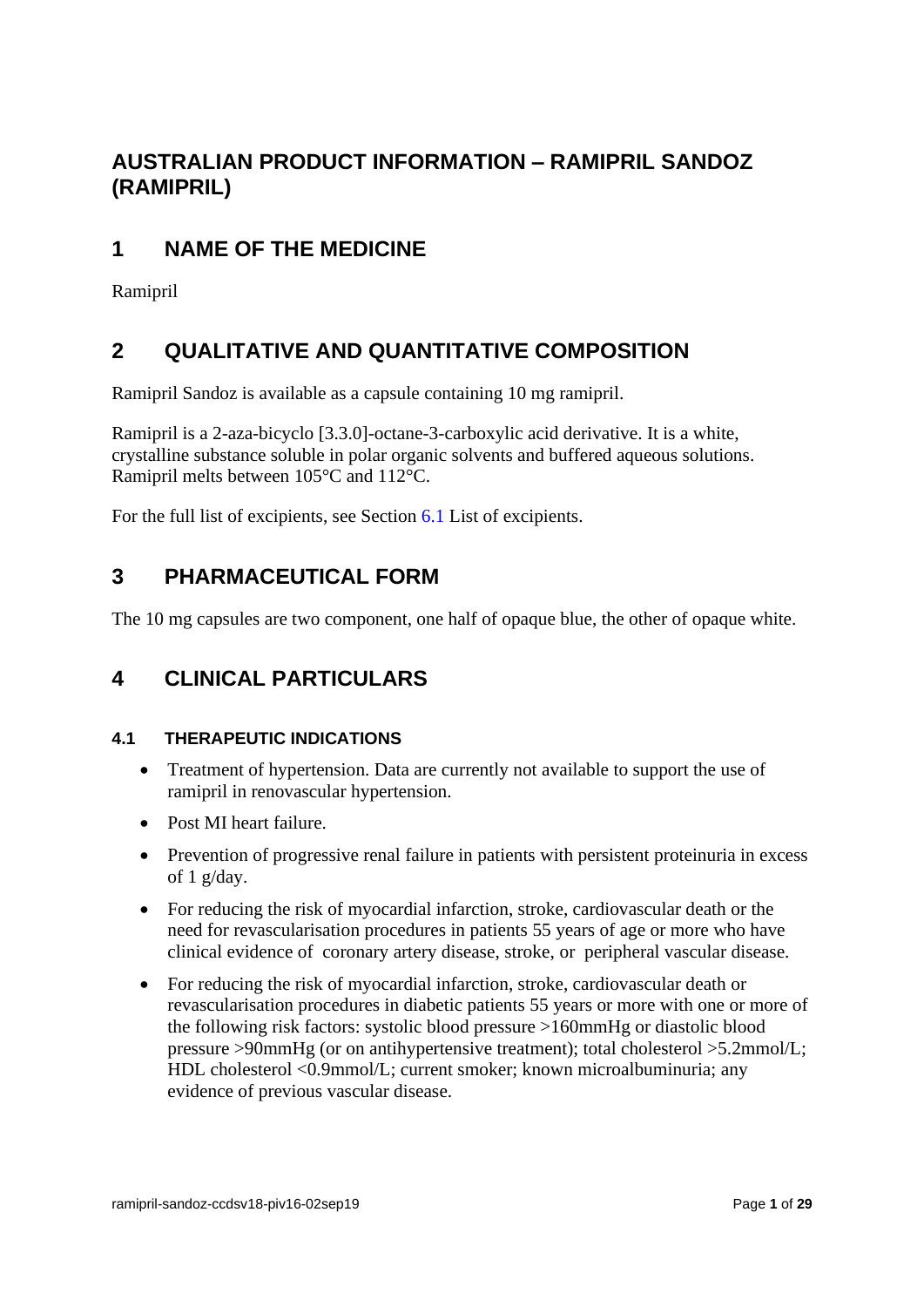# **AUSTRALIAN PRODUCT INFORMATION – RAMIPRIL SANDOZ (RAMIPRIL)**

# **1 NAME OF THE MEDICINE**

Ramipril

# **2 QUALITATIVE AND QUANTITATIVE COMPOSITION**

Ramipril Sandoz is available as a capsule containing 10 mg ramipril.

Ramipril is a 2-aza-bicyclo [3.3.0]-octane-3-carboxylic acid derivative. It is a white, crystalline substance soluble in polar organic solvents and buffered aqueous solutions. Ramipril melts between 105°C and 112°C.

For the full list of excipients, see Section 6.1 List of excipients.

# **3 PHARMACEUTICAL FORM**

The 10 mg capsules are two component, one half of opaque blue, the other of opaque white.

# **4 CLINICAL PARTICULARS**

# **4.1 THERAPEUTIC INDICATIONS**

- Treatment of hypertension. Data are currently not available to support the use of ramipril in renovascular hypertension.
- Post MI heart failure.
- Prevention of progressive renal failure in patients with persistent proteinuria in excess of 1 g/day.
- For reducing the risk of myocardial infarction, stroke, cardiovascular death or the need for revascularisation procedures in patients 55 years of age or more who have clinical evidence of coronary artery disease, stroke, or peripheral vascular disease.
- For reducing the risk of myocardial infarction, stroke, cardiovascular death or revascularisation procedures in diabetic patients 55 years or more with one or more of the following risk factors: systolic blood pressure >160mmHg or diastolic blood pressure >90mmHg (or on antihypertensive treatment); total cholesterol >5.2mmol/L; HDL cholesterol <0.9mmol/L; current smoker; known microalbuminuria; any evidence of previous vascular disease.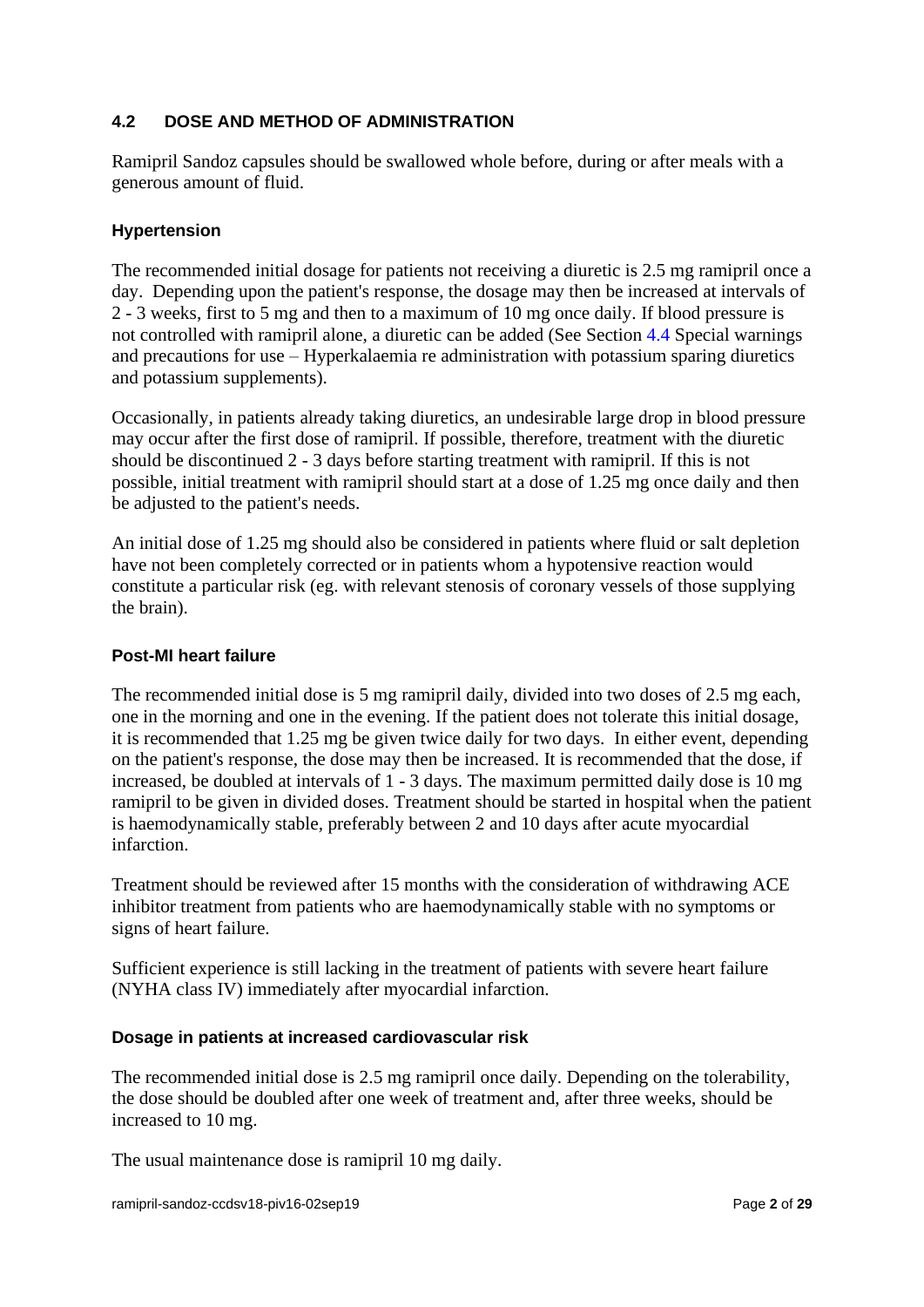# **4.2 DOSE AND METHOD OF ADMINISTRATION**

Ramipril Sandoz capsules should be swallowed whole before, during or after meals with a generous amount of fluid.

## **Hypertension**

The recommended initial dosage for patients not receiving a diuretic is 2.5 mg ramipril once a day. Depending upon the patient's response, the dosage may then be increased at intervals of 2 - 3 weeks, first to 5 mg and then to a maximum of 10 mg once daily. If blood pressure is not controlled with ramipril alone, a diuretic can be added (See Section 4.4 Special warnings and precautions for use – Hyperkalaemia re administration with potassium sparing diuretics and potassium supplements).

Occasionally, in patients already taking diuretics, an undesirable large drop in blood pressure may occur after the first dose of ramipril. If possible, therefore, treatment with the diuretic should be discontinued 2 - 3 days before starting treatment with ramipril. If this is not possible, initial treatment with ramipril should start at a dose of 1.25 mg once daily and then be adjusted to the patient's needs.

An initial dose of 1.25 mg should also be considered in patients where fluid or salt depletion have not been completely corrected or in patients whom a hypotensive reaction would constitute a particular risk (eg. with relevant stenosis of coronary vessels of those supplying the brain).

#### **Post-MI heart failure**

The recommended initial dose is 5 mg ramipril daily, divided into two doses of 2.5 mg each, one in the morning and one in the evening. If the patient does not tolerate this initial dosage, it is recommended that 1.25 mg be given twice daily for two days. In either event, depending on the patient's response, the dose may then be increased. It is recommended that the dose, if increased, be doubled at intervals of 1 - 3 days. The maximum permitted daily dose is 10 mg ramipril to be given in divided doses. Treatment should be started in hospital when the patient is haemodynamically stable, preferably between 2 and 10 days after acute myocardial infarction.

Treatment should be reviewed after 15 months with the consideration of withdrawing ACE inhibitor treatment from patients who are haemodynamically stable with no symptoms or signs of heart failure.

Sufficient experience is still lacking in the treatment of patients with severe heart failure (NYHA class IV) immediately after myocardial infarction.

## **Dosage in patients at increased cardiovascular risk**

The recommended initial dose is 2.5 mg ramipril once daily. Depending on the tolerability, the dose should be doubled after one week of treatment and, after three weeks, should be increased to 10 mg.

The usual maintenance dose is ramipril 10 mg daily.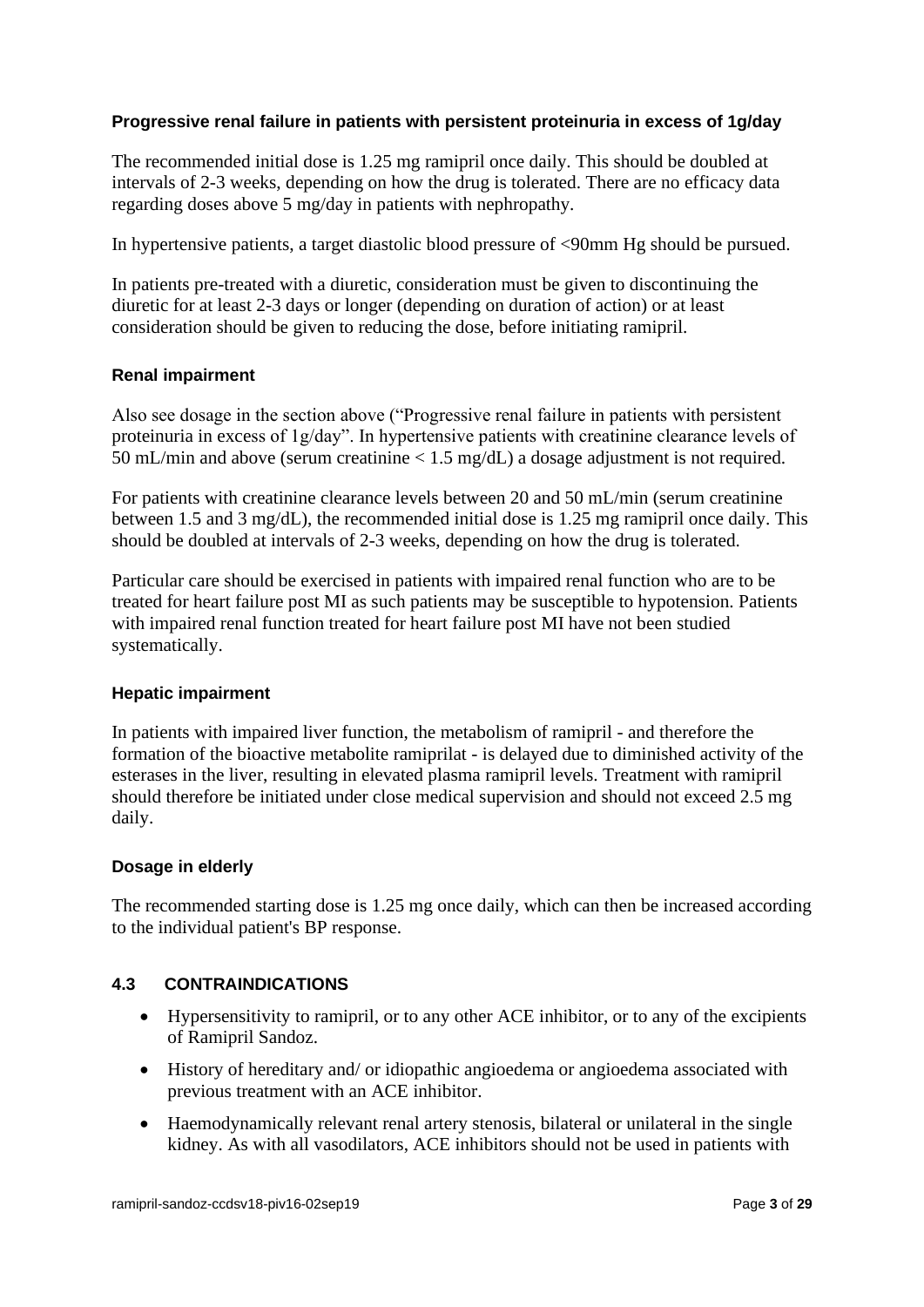# **Progressive renal failure in patients with persistent proteinuria in excess of 1g/day**

The recommended initial dose is 1.25 mg ramipril once daily. This should be doubled at intervals of 2-3 weeks, depending on how the drug is tolerated. There are no efficacy data regarding doses above 5 mg/day in patients with nephropathy.

In hypertensive patients, a target diastolic blood pressure of <90mm Hg should be pursued.

In patients pre-treated with a diuretic, consideration must be given to discontinuing the diuretic for at least 2-3 days or longer (depending on duration of action) or at least consideration should be given to reducing the dose, before initiating ramipril.

## **Renal impairment**

Also see dosage in the section above ("Progressive renal failure in patients with persistent proteinuria in excess of 1g/day". In hypertensive patients with creatinine clearance levels of 50 mL/min and above (serum creatinine < 1.5 mg/dL) a dosage adjustment is not required.

For patients with creatinine clearance levels between 20 and 50 mL/min (serum creatinine between 1.5 and 3 mg/dL), the recommended initial dose is 1.25 mg ramipril once daily. This should be doubled at intervals of 2-3 weeks, depending on how the drug is tolerated.

Particular care should be exercised in patients with impaired renal function who are to be treated for heart failure post MI as such patients may be susceptible to hypotension. Patients with impaired renal function treated for heart failure post MI have not been studied systematically.

## **Hepatic impairment**

In patients with impaired liver function, the metabolism of ramipril - and therefore the formation of the bioactive metabolite ramiprilat - is delayed due to diminished activity of the esterases in the liver, resulting in elevated plasma ramipril levels. Treatment with ramipril should therefore be initiated under close medical supervision and should not exceed 2.5 mg daily.

## **Dosage in elderly**

The recommended starting dose is 1.25 mg once daily, which can then be increased according to the individual patient's BP response.

## **4.3 CONTRAINDICATIONS**

- Hypersensitivity to ramipril, or to any other ACE inhibitor, or to any of the excipients of Ramipril Sandoz.
- History of hereditary and/ or idiopathic angioedema or angioedema associated with previous treatment with an ACE inhibitor.
- Haemodynamically relevant renal artery stenosis, bilateral or unilateral in the single kidney. As with all vasodilators, ACE inhibitors should not be used in patients with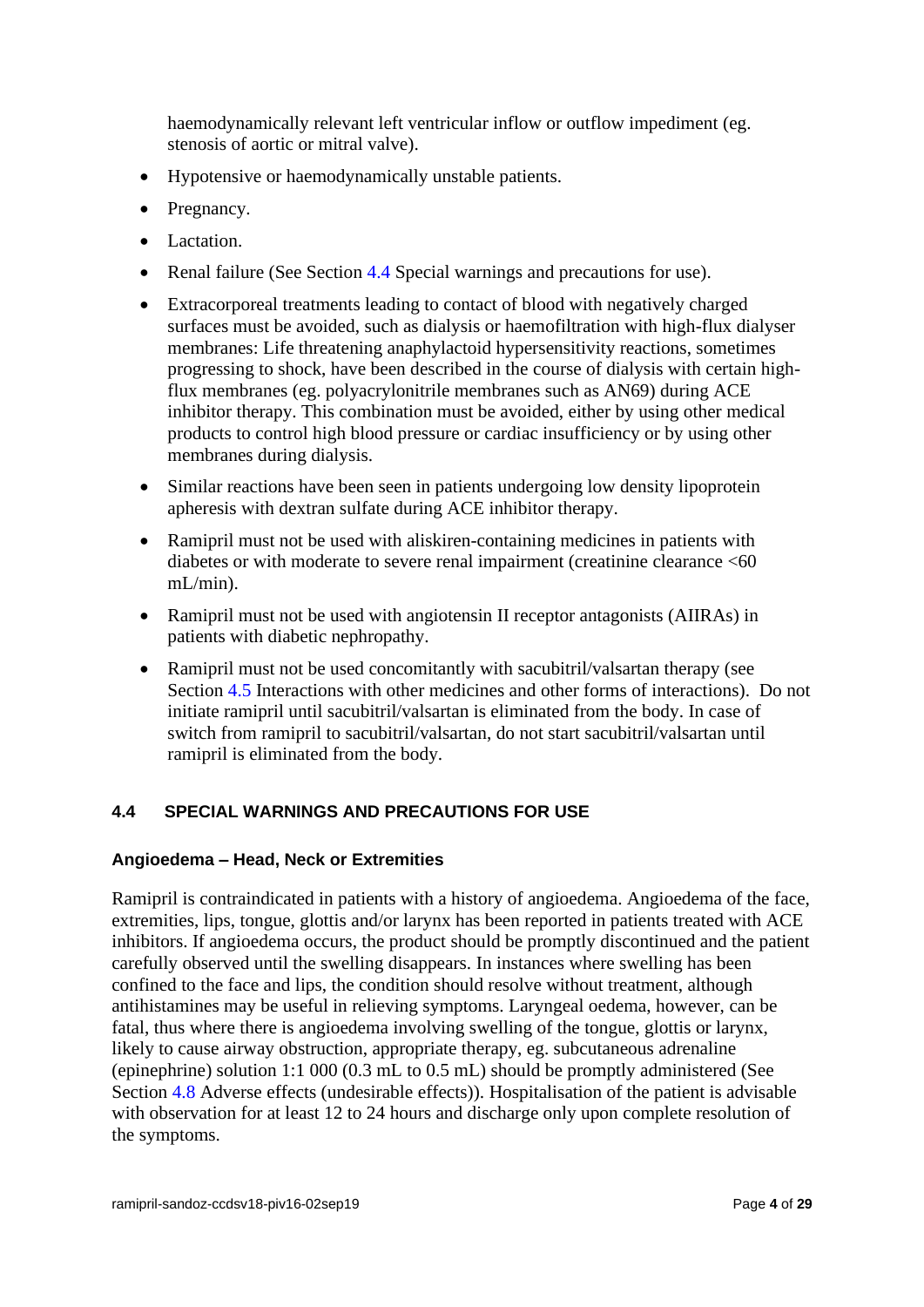haemodynamically relevant left ventricular inflow or outflow impediment (eg. stenosis of aortic or mitral valve).

- Hypotensive or haemodynamically unstable patients.
- Pregnancy.
- Lactation.
- Renal failure (See Section 4.4 Special warnings and precautions for use).
- Extracorporeal treatments leading to contact of blood with negatively charged surfaces must be avoided, such as dialysis or haemofiltration with high-flux dialyser membranes: Life threatening anaphylactoid hypersensitivity reactions, sometimes progressing to shock, have been described in the course of dialysis with certain highflux membranes (eg. polyacrylonitrile membranes such as AN69) during ACE inhibitor therapy. This combination must be avoided, either by using other medical products to control high blood pressure or cardiac insufficiency or by using other membranes during dialysis.
- Similar reactions have been seen in patients undergoing low density lipoprotein apheresis with dextran sulfate during ACE inhibitor therapy.
- Ramipril must not be used with aliskiren-containing medicines in patients with diabetes or with moderate to severe renal impairment (creatinine clearance <60 mL/min).
- Ramipril must not be used with angiotensin II receptor antagonists (AIIRAs) in patients with diabetic nephropathy.
- Ramipril must not be used concomitantly with sacubitril/valsartan therapy (see Section 4.5 Interactions with other medicines and other forms of interactions). Do not initiate ramipril until sacubitril/valsartan is eliminated from the body. In case of switch from ramipril to sacubitril/valsartan, do not start sacubitril/valsartan until ramipril is eliminated from the body.

# **4.4 SPECIAL WARNINGS AND PRECAUTIONS FOR USE**

## **Angioedema – Head, Neck or Extremities**

Ramipril is contraindicated in patients with a history of angioedema. Angioedema of the face, extremities, lips, tongue, glottis and/or larynx has been reported in patients treated with ACE inhibitors. If angioedema occurs, the product should be promptly discontinued and the patient carefully observed until the swelling disappears. In instances where swelling has been confined to the face and lips, the condition should resolve without treatment, although antihistamines may be useful in relieving symptoms. Laryngeal oedema, however, can be fatal, thus where there is angioedema involving swelling of the tongue, glottis or larynx, likely to cause airway obstruction, appropriate therapy, eg. subcutaneous adrenaline (epinephrine) solution 1:1 000 (0.3 mL to 0.5 mL) should be promptly administered (See Section 4.8 Adverse effects (undesirable effects)). Hospitalisation of the patient is advisable with observation for at least 12 to 24 hours and discharge only upon complete resolution of the symptoms.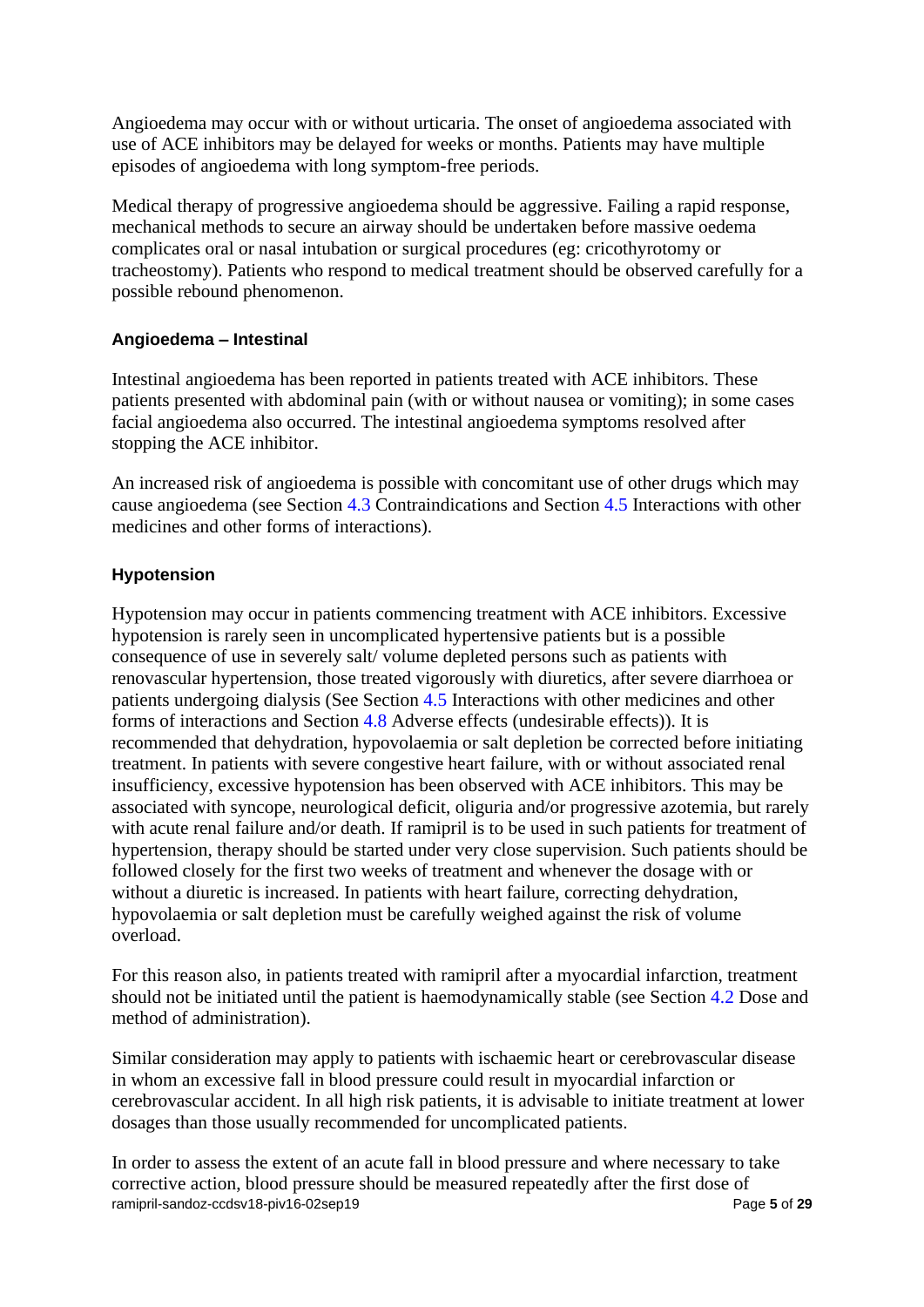Angioedema may occur with or without urticaria. The onset of angioedema associated with use of ACE inhibitors may be delayed for weeks or months. Patients may have multiple episodes of angioedema with long symptom-free periods.

Medical therapy of progressive angioedema should be aggressive. Failing a rapid response, mechanical methods to secure an airway should be undertaken before massive oedema complicates oral or nasal intubation or surgical procedures (eg: cricothyrotomy or tracheostomy). Patients who respond to medical treatment should be observed carefully for a possible rebound phenomenon.

# **Angioedema – Intestinal**

Intestinal angioedema has been reported in patients treated with ACE inhibitors. These patients presented with abdominal pain (with or without nausea or vomiting); in some cases facial angioedema also occurred. The intestinal angioedema symptoms resolved after stopping the ACE inhibitor.

An increased risk of angioedema is possible with concomitant use of other drugs which may cause angioedema (see Section 4.3 Contraindications and Section 4.5 Interactions with other medicines and other forms of interactions).

# **Hypotension**

Hypotension may occur in patients commencing treatment with ACE inhibitors. Excessive hypotension is rarely seen in uncomplicated hypertensive patients but is a possible consequence of use in severely salt/ volume depleted persons such as patients with renovascular hypertension, those treated vigorously with diuretics, after severe diarrhoea or patients undergoing dialysis (See Section 4.5 Interactions with other medicines and other forms of interactions and Section 4.8 Adverse effects (undesirable effects)). It is recommended that dehydration, hypovolaemia or salt depletion be corrected before initiating treatment. In patients with severe congestive heart failure, with or without associated renal insufficiency, excessive hypotension has been observed with ACE inhibitors. This may be associated with syncope, neurological deficit, oliguria and/or progressive azotemia, but rarely with acute renal failure and/or death. If ramipril is to be used in such patients for treatment of hypertension, therapy should be started under very close supervision. Such patients should be followed closely for the first two weeks of treatment and whenever the dosage with or without a diuretic is increased. In patients with heart failure, correcting dehydration, hypovolaemia or salt depletion must be carefully weighed against the risk of volume overload.

For this reason also, in patients treated with ramipril after a myocardial infarction, treatment should not be initiated until the patient is haemodynamically stable (see Section 4.2 Dose and method of administration).

Similar consideration may apply to patients with ischaemic heart or cerebrovascular disease in whom an excessive fall in blood pressure could result in myocardial infarction or cerebrovascular accident. In all high risk patients, it is advisable to initiate treatment at lower dosages than those usually recommended for uncomplicated patients.

ramipril-sandoz-ccdsv18-piv16-02sep19 **Page 5** of 29 In order to assess the extent of an acute fall in blood pressure and where necessary to take corrective action, blood pressure should be measured repeatedly after the first dose of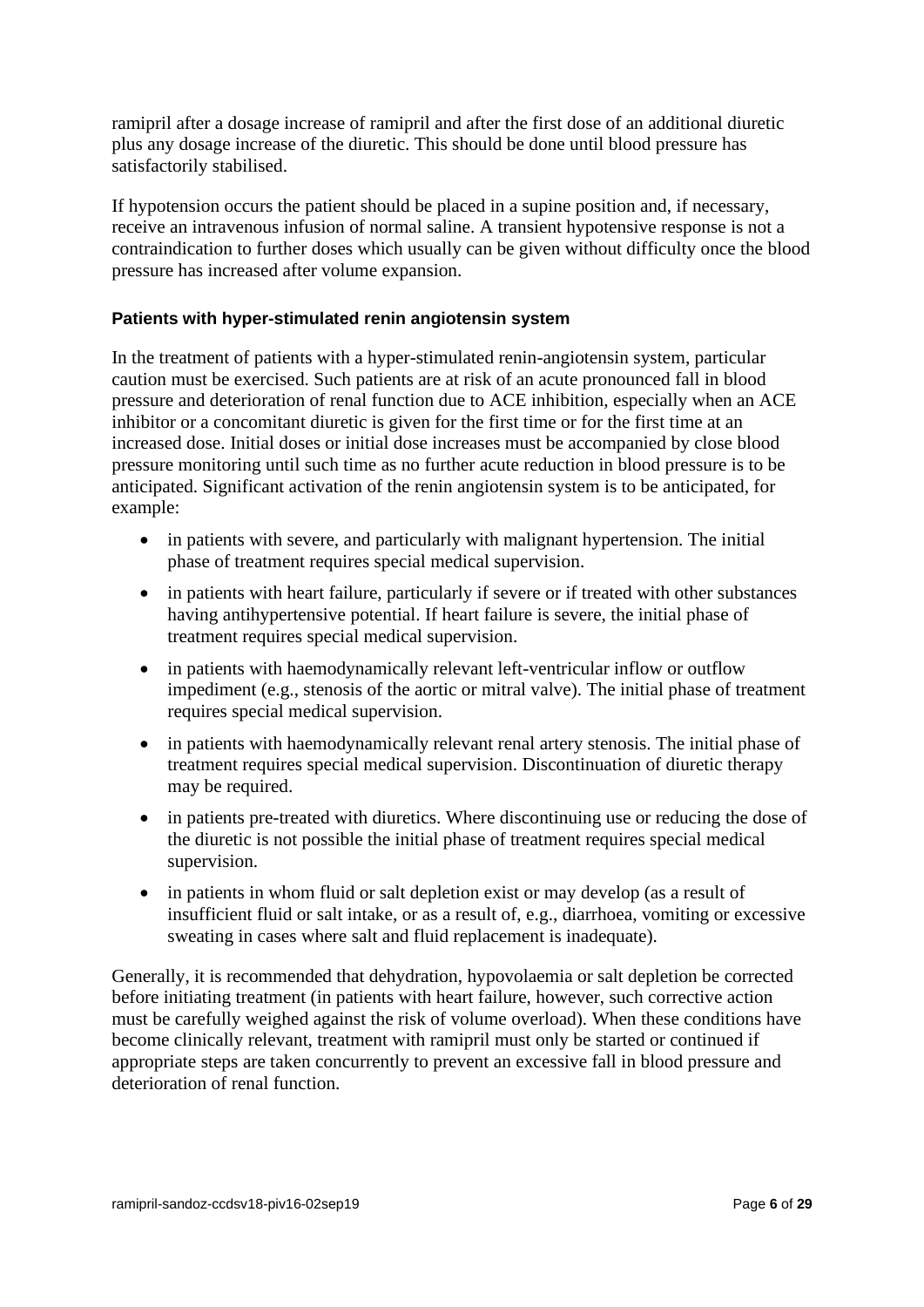ramipril after a dosage increase of ramipril and after the first dose of an additional diuretic plus any dosage increase of the diuretic. This should be done until blood pressure has satisfactorily stabilised.

If hypotension occurs the patient should be placed in a supine position and, if necessary, receive an intravenous infusion of normal saline. A transient hypotensive response is not a contraindication to further doses which usually can be given without difficulty once the blood pressure has increased after volume expansion.

# **Patients with hyper-stimulated renin angiotensin system**

In the treatment of patients with a hyper-stimulated renin-angiotensin system, particular caution must be exercised. Such patients are at risk of an acute pronounced fall in blood pressure and deterioration of renal function due to ACE inhibition, especially when an ACE inhibitor or a concomitant diuretic is given for the first time or for the first time at an increased dose. Initial doses or initial dose increases must be accompanied by close blood pressure monitoring until such time as no further acute reduction in blood pressure is to be anticipated. Significant activation of the renin angiotensin system is to be anticipated, for example:

- in patients with severe, and particularly with malignant hypertension. The initial phase of treatment requires special medical supervision.
- in patients with heart failure, particularly if severe or if treated with other substances having antihypertensive potential. If heart failure is severe, the initial phase of treatment requires special medical supervision.
- in patients with haemodynamically relevant left-ventricular inflow or outflow impediment (e.g., stenosis of the aortic or mitral valve). The initial phase of treatment requires special medical supervision.
- in patients with haemodynamically relevant renal artery stenosis. The initial phase of treatment requires special medical supervision. Discontinuation of diuretic therapy may be required.
- in patients pre-treated with diuretics. Where discontinuing use or reducing the dose of the diuretic is not possible the initial phase of treatment requires special medical supervision.
- in patients in whom fluid or salt depletion exist or may develop (as a result of insufficient fluid or salt intake, or as a result of, e.g., diarrhoea, vomiting or excessive sweating in cases where salt and fluid replacement is inadequate).

Generally, it is recommended that dehydration, hypovolaemia or salt depletion be corrected before initiating treatment (in patients with heart failure, however, such corrective action must be carefully weighed against the risk of volume overload). When these conditions have become clinically relevant, treatment with ramipril must only be started or continued if appropriate steps are taken concurrently to prevent an excessive fall in blood pressure and deterioration of renal function.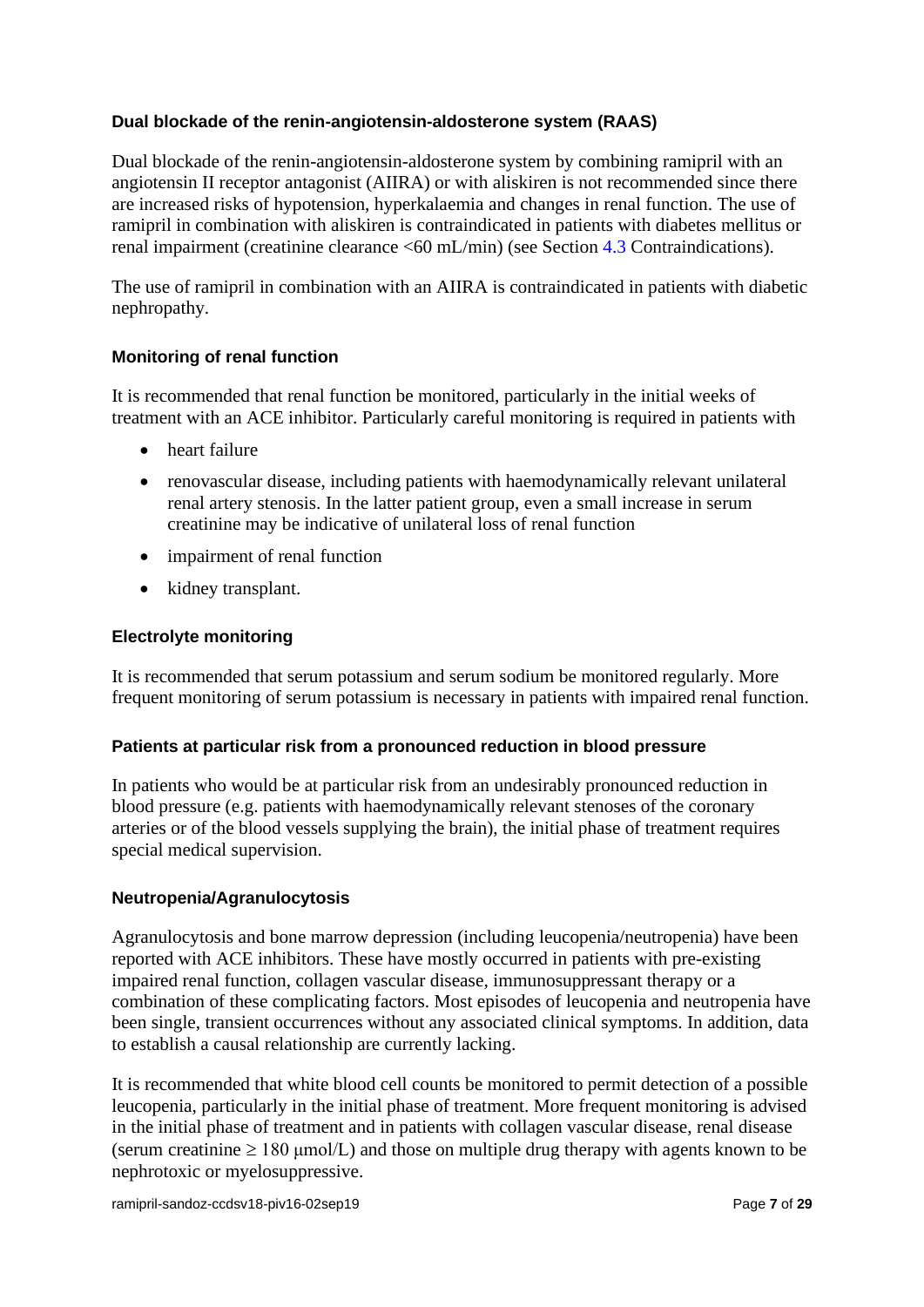## **Dual blockade of the renin-angiotensin-aldosterone system (RAAS)**

Dual blockade of the renin-angiotensin-aldosterone system by combining ramipril with an angiotensin II receptor antagonist (AIIRA) or with aliskiren is not recommended since there are increased risks of hypotension, hyperkalaemia and changes in renal function. The use of ramipril in combination with aliskiren is contraindicated in patients with diabetes mellitus or renal impairment (creatinine clearance <60 mL/min) (see Section 4.3 Contraindications).

The use of ramipril in combination with an AIIRA is contraindicated in patients with diabetic nephropathy.

# **Monitoring of renal function**

It is recommended that renal function be monitored, particularly in the initial weeks of treatment with an ACE inhibitor. Particularly careful monitoring is required in patients with

- heart failure
- renovascular disease, including patients with haemodynamically relevant unilateral renal artery stenosis. In the latter patient group, even a small increase in serum creatinine may be indicative of unilateral loss of renal function
- impairment of renal function
- kidney transplant.

## **Electrolyte monitoring**

It is recommended that serum potassium and serum sodium be monitored regularly. More frequent monitoring of serum potassium is necessary in patients with impaired renal function.

## **Patients at particular risk from a pronounced reduction in blood pressure**

In patients who would be at particular risk from an undesirably pronounced reduction in blood pressure (e.g. patients with haemodynamically relevant stenoses of the coronary arteries or of the blood vessels supplying the brain), the initial phase of treatment requires special medical supervision.

## **Neutropenia/Agranulocytosis**

Agranulocytosis and bone marrow depression (including leucopenia/neutropenia) have been reported with ACE inhibitors. These have mostly occurred in patients with pre-existing impaired renal function, collagen vascular disease, immunosuppressant therapy or a combination of these complicating factors. Most episodes of leucopenia and neutropenia have been single, transient occurrences without any associated clinical symptoms. In addition, data to establish a causal relationship are currently lacking.

It is recommended that white blood cell counts be monitored to permit detection of a possible leucopenia, particularly in the initial phase of treatment. More frequent monitoring is advised in the initial phase of treatment and in patients with collagen vascular disease, renal disease (serum creatinine  $\geq 180$  µmol/L) and those on multiple drug therapy with agents known to be nephrotoxic or myelosuppressive.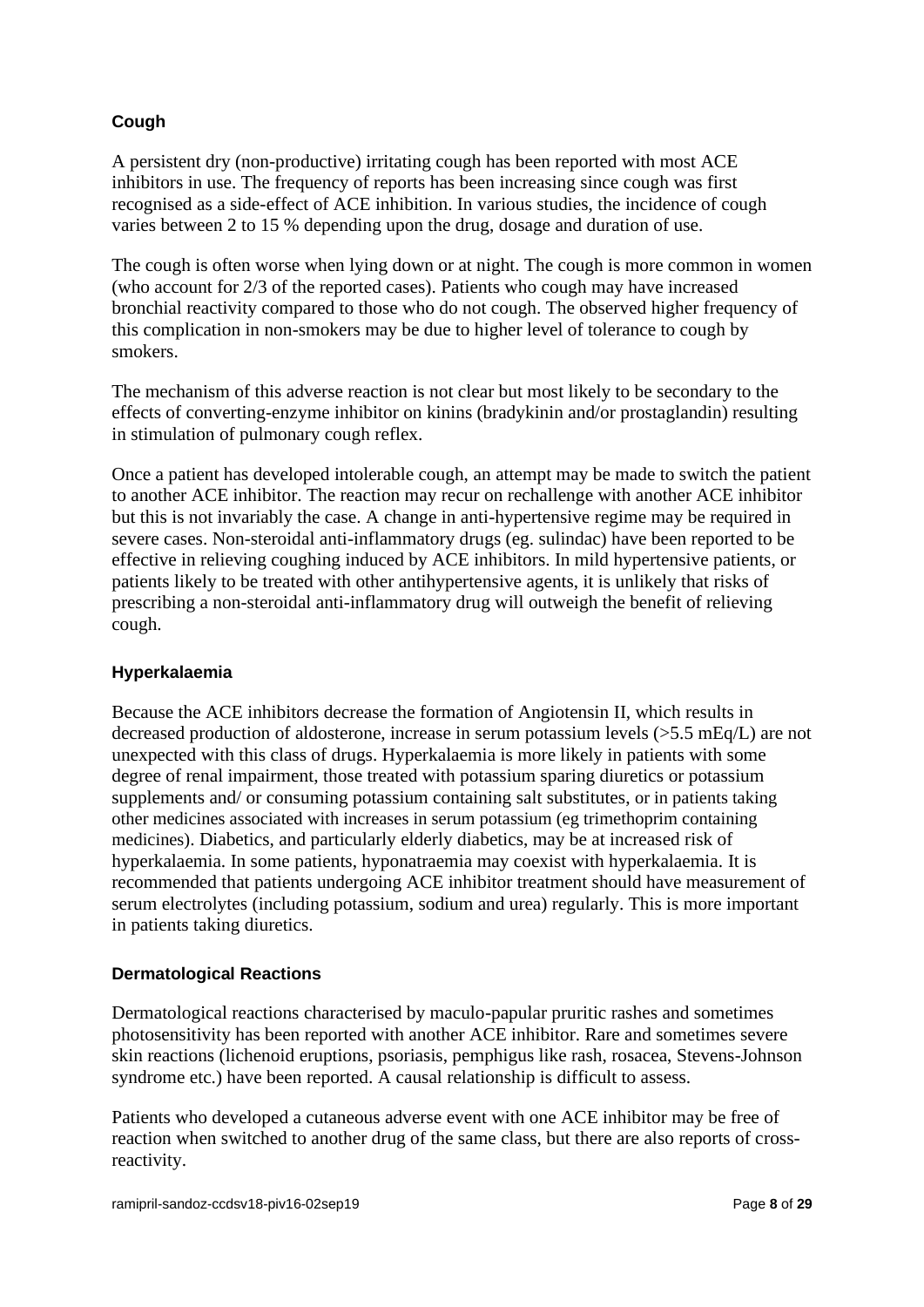# **Cough**

A persistent dry (non-productive) irritating cough has been reported with most ACE inhibitors in use. The frequency of reports has been increasing since cough was first recognised as a side-effect of ACE inhibition. In various studies, the incidence of cough varies between 2 to 15 % depending upon the drug, dosage and duration of use.

The cough is often worse when lying down or at night. The cough is more common in women (who account for 2/3 of the reported cases). Patients who cough may have increased bronchial reactivity compared to those who do not cough. The observed higher frequency of this complication in non-smokers may be due to higher level of tolerance to cough by smokers.

The mechanism of this adverse reaction is not clear but most likely to be secondary to the effects of converting-enzyme inhibitor on kinins (bradykinin and/or prostaglandin) resulting in stimulation of pulmonary cough reflex.

Once a patient has developed intolerable cough, an attempt may be made to switch the patient to another ACE inhibitor. The reaction may recur on rechallenge with another ACE inhibitor but this is not invariably the case. A change in anti-hypertensive regime may be required in severe cases. Non-steroidal anti-inflammatory drugs (eg. sulindac) have been reported to be effective in relieving coughing induced by ACE inhibitors. In mild hypertensive patients, or patients likely to be treated with other antihypertensive agents, it is unlikely that risks of prescribing a non-steroidal anti-inflammatory drug will outweigh the benefit of relieving cough.

# **Hyperkalaemia**

Because the ACE inhibitors decrease the formation of Angiotensin II, which results in decreased production of aldosterone, increase in serum potassium levels (>5.5 mEq/L) are not unexpected with this class of drugs. Hyperkalaemia is more likely in patients with some degree of renal impairment, those treated with potassium sparing diuretics or potassium supplements and/ or consuming potassium containing salt substitutes, or in patients taking other medicines associated with increases in serum potassium (eg trimethoprim containing medicines). Diabetics, and particularly elderly diabetics, may be at increased risk of hyperkalaemia. In some patients, hyponatraemia may coexist with hyperkalaemia. It is recommended that patients undergoing ACE inhibitor treatment should have measurement of serum electrolytes (including potassium, sodium and urea) regularly. This is more important in patients taking diuretics.

# **Dermatological Reactions**

Dermatological reactions characterised by maculo-papular pruritic rashes and sometimes photosensitivity has been reported with another ACE inhibitor. Rare and sometimes severe skin reactions (lichenoid eruptions, psoriasis, pemphigus like rash, rosacea, Stevens-Johnson syndrome etc.) have been reported. A causal relationship is difficult to assess.

Patients who developed a cutaneous adverse event with one ACE inhibitor may be free of reaction when switched to another drug of the same class, but there are also reports of crossreactivity.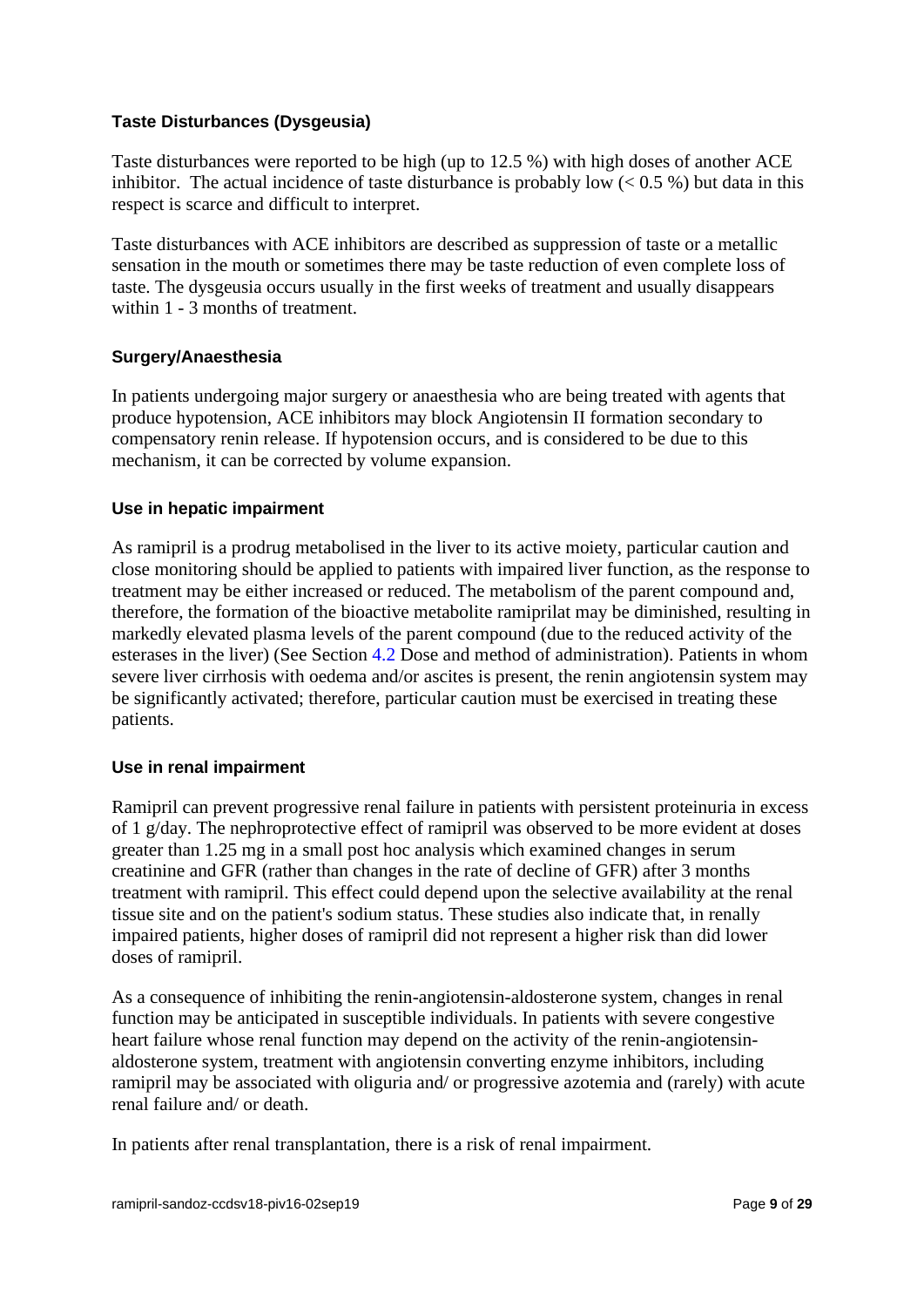## **Taste Disturbances (Dysgeusia)**

Taste disturbances were reported to be high (up to 12.5 %) with high doses of another ACE inhibitor. The actual incidence of taste disturbance is probably low  $(< 0.5\%$ ) but data in this respect is scarce and difficult to interpret.

Taste disturbances with ACE inhibitors are described as suppression of taste or a metallic sensation in the mouth or sometimes there may be taste reduction of even complete loss of taste. The dysgeusia occurs usually in the first weeks of treatment and usually disappears within 1 - 3 months of treatment.

# **Surgery/Anaesthesia**

In patients undergoing major surgery or anaesthesia who are being treated with agents that produce hypotension, ACE inhibitors may block Angiotensin II formation secondary to compensatory renin release. If hypotension occurs, and is considered to be due to this mechanism, it can be corrected by volume expansion.

## **Use in hepatic impairment**

As ramipril is a prodrug metabolised in the liver to its active moiety, particular caution and close monitoring should be applied to patients with impaired liver function, as the response to treatment may be either increased or reduced. The metabolism of the parent compound and, therefore, the formation of the bioactive metabolite ramiprilat may be diminished, resulting in markedly elevated plasma levels of the parent compound (due to the reduced activity of the esterases in the liver) (See Section 4.2 Dose and method of administration). Patients in whom severe liver cirrhosis with oedema and/or ascites is present, the renin angiotensin system may be significantly activated; therefore, particular caution must be exercised in treating these patients.

## **Use in renal impairment**

Ramipril can prevent progressive renal failure in patients with persistent proteinuria in excess of 1 g/day. The nephroprotective effect of ramipril was observed to be more evident at doses greater than 1.25 mg in a small post hoc analysis which examined changes in serum creatinine and GFR (rather than changes in the rate of decline of GFR) after 3 months treatment with ramipril. This effect could depend upon the selective availability at the renal tissue site and on the patient's sodium status. These studies also indicate that, in renally impaired patients, higher doses of ramipril did not represent a higher risk than did lower doses of ramipril.

As a consequence of inhibiting the renin-angiotensin-aldosterone system, changes in renal function may be anticipated in susceptible individuals. In patients with severe congestive heart failure whose renal function may depend on the activity of the renin-angiotensinaldosterone system, treatment with angiotensin converting enzyme inhibitors, including ramipril may be associated with oliguria and/ or progressive azotemia and (rarely) with acute renal failure and/ or death.

In patients after renal transplantation, there is a risk of renal impairment.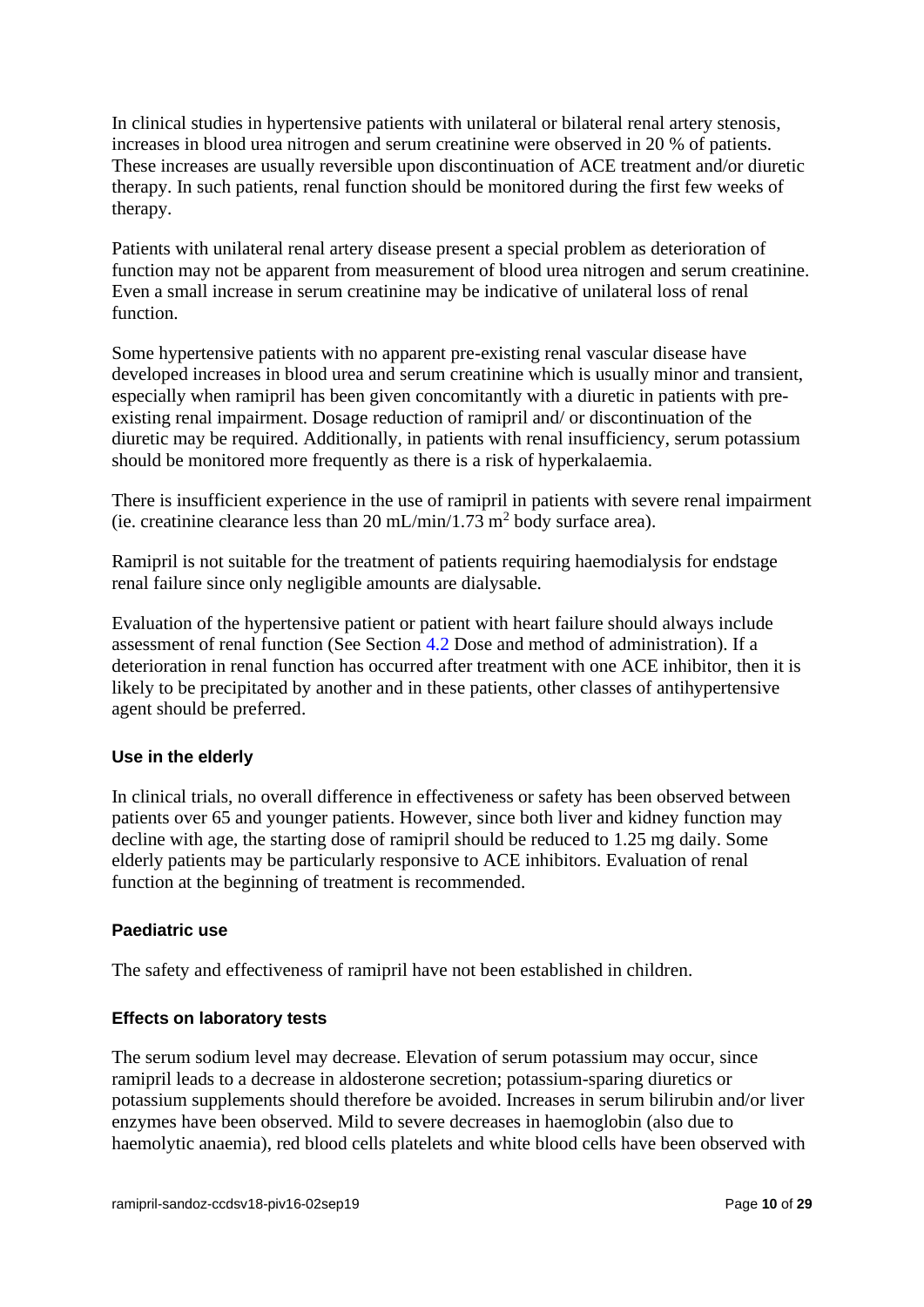In clinical studies in hypertensive patients with unilateral or bilateral renal artery stenosis, increases in blood urea nitrogen and serum creatinine were observed in 20 % of patients. These increases are usually reversible upon discontinuation of ACE treatment and/or diuretic therapy. In such patients, renal function should be monitored during the first few weeks of therapy.

Patients with unilateral renal artery disease present a special problem as deterioration of function may not be apparent from measurement of blood urea nitrogen and serum creatinine. Even a small increase in serum creatinine may be indicative of unilateral loss of renal function.

Some hypertensive patients with no apparent pre-existing renal vascular disease have developed increases in blood urea and serum creatinine which is usually minor and transient, especially when ramipril has been given concomitantly with a diuretic in patients with preexisting renal impairment. Dosage reduction of ramipril and/ or discontinuation of the diuretic may be required. Additionally, in patients with renal insufficiency, serum potassium should be monitored more frequently as there is a risk of hyperkalaemia.

There is insufficient experience in the use of ramipril in patients with severe renal impairment (ie. creatinine clearance less than 20 mL/min/1.73 m<sup>2</sup> body surface area).

Ramipril is not suitable for the treatment of patients requiring haemodialysis for endstage renal failure since only negligible amounts are dialysable.

Evaluation of the hypertensive patient or patient with heart failure should always include assessment of renal function (See Section 4.2 Dose and method of administration). If a deterioration in renal function has occurred after treatment with one ACE inhibitor, then it is likely to be precipitated by another and in these patients, other classes of antihypertensive agent should be preferred.

## **Use in the elderly**

In clinical trials, no overall difference in effectiveness or safety has been observed between patients over 65 and younger patients. However, since both liver and kidney function may decline with age, the starting dose of ramipril should be reduced to 1.25 mg daily. Some elderly patients may be particularly responsive to ACE inhibitors. Evaluation of renal function at the beginning of treatment is recommended.

## **Paediatric use**

The safety and effectiveness of ramipril have not been established in children.

## **Effects on laboratory tests**

The serum sodium level may decrease. Elevation of serum potassium may occur, since ramipril leads to a decrease in aldosterone secretion; potassium-sparing diuretics or potassium supplements should therefore be avoided. Increases in serum bilirubin and/or liver enzymes have been observed. Mild to severe decreases in haemoglobin (also due to haemolytic anaemia), red blood cells platelets and white blood cells have been observed with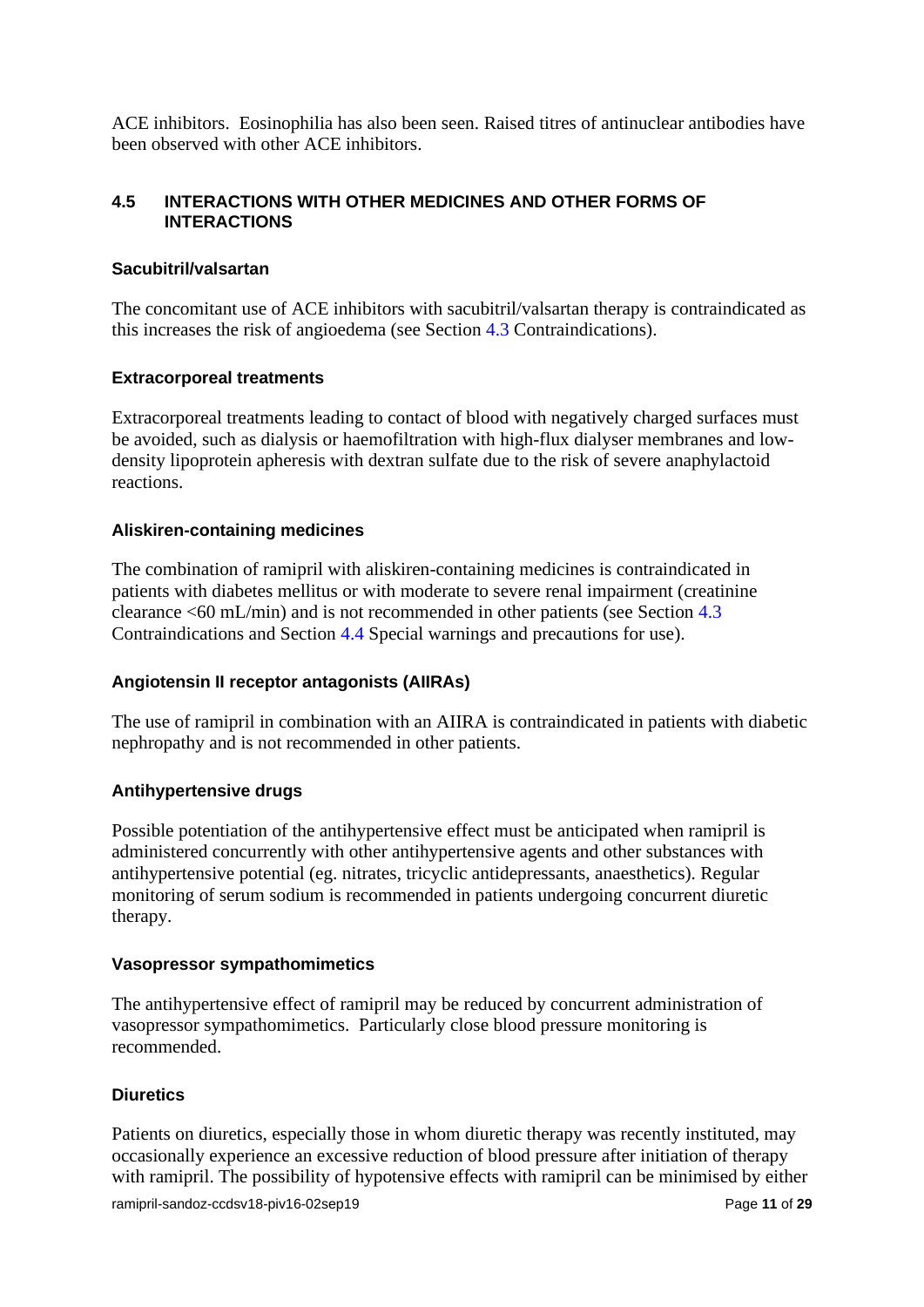ACE inhibitors. Eosinophilia has also been seen. Raised titres of antinuclear antibodies have been observed with other ACE inhibitors.

# **4.5 INTERACTIONS WITH OTHER MEDICINES AND OTHER FORMS OF INTERACTIONS**

## **Sacubitril/valsartan**

The concomitant use of ACE inhibitors with sacubitril/valsartan therapy is contraindicated as this increases the risk of angioedema (see Section 4.3 Contraindications).

# **Extracorporeal treatments**

Extracorporeal treatments leading to contact of blood with negatively charged surfaces must be avoided, such as dialysis or haemofiltration with high-flux dialyser membranes and lowdensity lipoprotein apheresis with dextran sulfate due to the risk of severe anaphylactoid reactions.

# **Aliskiren-containing medicines**

The combination of ramipril with aliskiren-containing medicines is contraindicated in patients with diabetes mellitus or with moderate to severe renal impairment (creatinine clearance <60 mL/min) and is not recommended in other patients (see Section 4.3 Contraindications and Section 4.4 Special warnings and precautions for use).

## **Angiotensin II receptor antagonists (AIIRAs)**

The use of ramipril in combination with an AIIRA is contraindicated in patients with diabetic nephropathy and is not recommended in other patients.

## **Antihypertensive drugs**

Possible potentiation of the antihypertensive effect must be anticipated when ramipril is administered concurrently with other antihypertensive agents and other substances with antihypertensive potential (eg. nitrates, tricyclic antidepressants, anaesthetics). Regular monitoring of serum sodium is recommended in patients undergoing concurrent diuretic therapy.

## **Vasopressor sympathomimetics**

The antihypertensive effect of ramipril may be reduced by concurrent administration of vasopressor sympathomimetics. Particularly close blood pressure monitoring is recommended.

# **Diuretics**

ramipril-sandoz-ccdsv18-piv16-02sep19 Page 11 of 29 Patients on diuretics, especially those in whom diuretic therapy was recently instituted, may occasionally experience an excessive reduction of blood pressure after initiation of therapy with ramipril. The possibility of hypotensive effects with ramipril can be minimised by either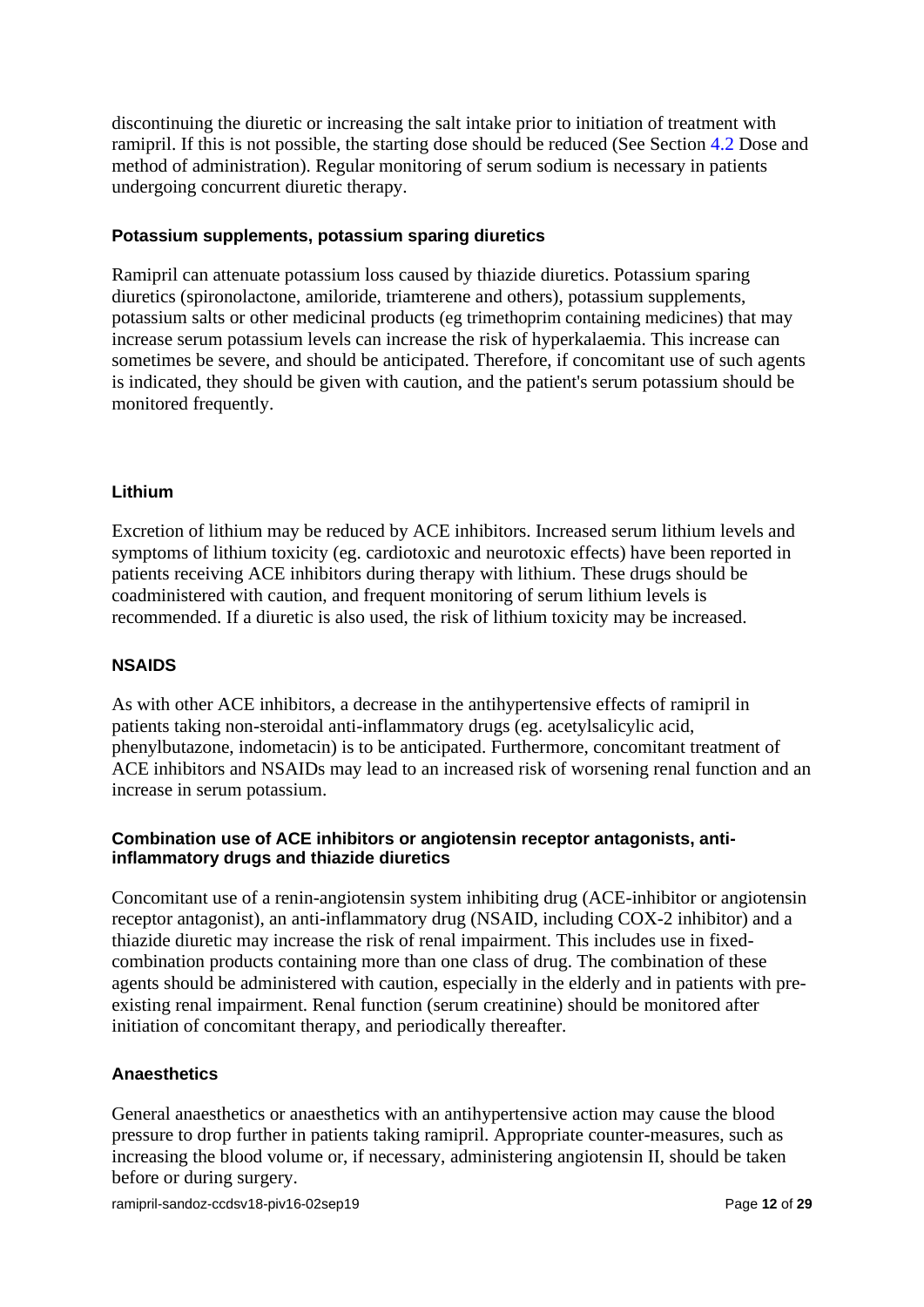discontinuing the diuretic or increasing the salt intake prior to initiation of treatment with ramipril. If this is not possible, the starting dose should be reduced (See Section 4.2 Dose and method of administration). Regular monitoring of serum sodium is necessary in patients undergoing concurrent diuretic therapy.

#### **Potassium supplements, potassium sparing diuretics**

Ramipril can attenuate potassium loss caused by thiazide diuretics. Potassium sparing diuretics (spironolactone, amiloride, triamterene and others), potassium supplements, potassium salts or other medicinal products (eg trimethoprim containing medicines) that may increase serum potassium levels can increase the risk of hyperkalaemia. This increase can sometimes be severe, and should be anticipated. Therefore, if concomitant use of such agents is indicated, they should be given with caution, and the patient's serum potassium should be monitored frequently.

#### **Lithium**

Excretion of lithium may be reduced by ACE inhibitors. Increased serum lithium levels and symptoms of lithium toxicity (eg. cardiotoxic and neurotoxic effects) have been reported in patients receiving ACE inhibitors during therapy with lithium. These drugs should be coadministered with caution, and frequent monitoring of serum lithium levels is recommended. If a diuretic is also used, the risk of lithium toxicity may be increased.

#### **NSAIDS**

As with other ACE inhibitors, a decrease in the antihypertensive effects of ramipril in patients taking non-steroidal anti-inflammatory drugs (eg. acetylsalicylic acid, phenylbutazone, indometacin) is to be anticipated. Furthermore, concomitant treatment of ACE inhibitors and NSAIDs may lead to an increased risk of worsening renal function and an increase in serum potassium.

#### **Combination use of ACE inhibitors or angiotensin receptor antagonists, antiinflammatory drugs and thiazide diuretics**

Concomitant use of a renin-angiotensin system inhibiting drug (ACE-inhibitor or angiotensin receptor antagonist), an anti-inflammatory drug (NSAID, including COX-2 inhibitor) and a thiazide diuretic may increase the risk of renal impairment. This includes use in fixedcombination products containing more than one class of drug. The combination of these agents should be administered with caution, especially in the elderly and in patients with preexisting renal impairment. Renal function (serum creatinine) should be monitored after initiation of concomitant therapy, and periodically thereafter.

#### **Anaesthetics**

General anaesthetics or anaesthetics with an antihypertensive action may cause the blood pressure to drop further in patients taking ramipril. Appropriate counter-measures, such as increasing the blood volume or, if necessary, administering angiotensin II, should be taken before or during surgery.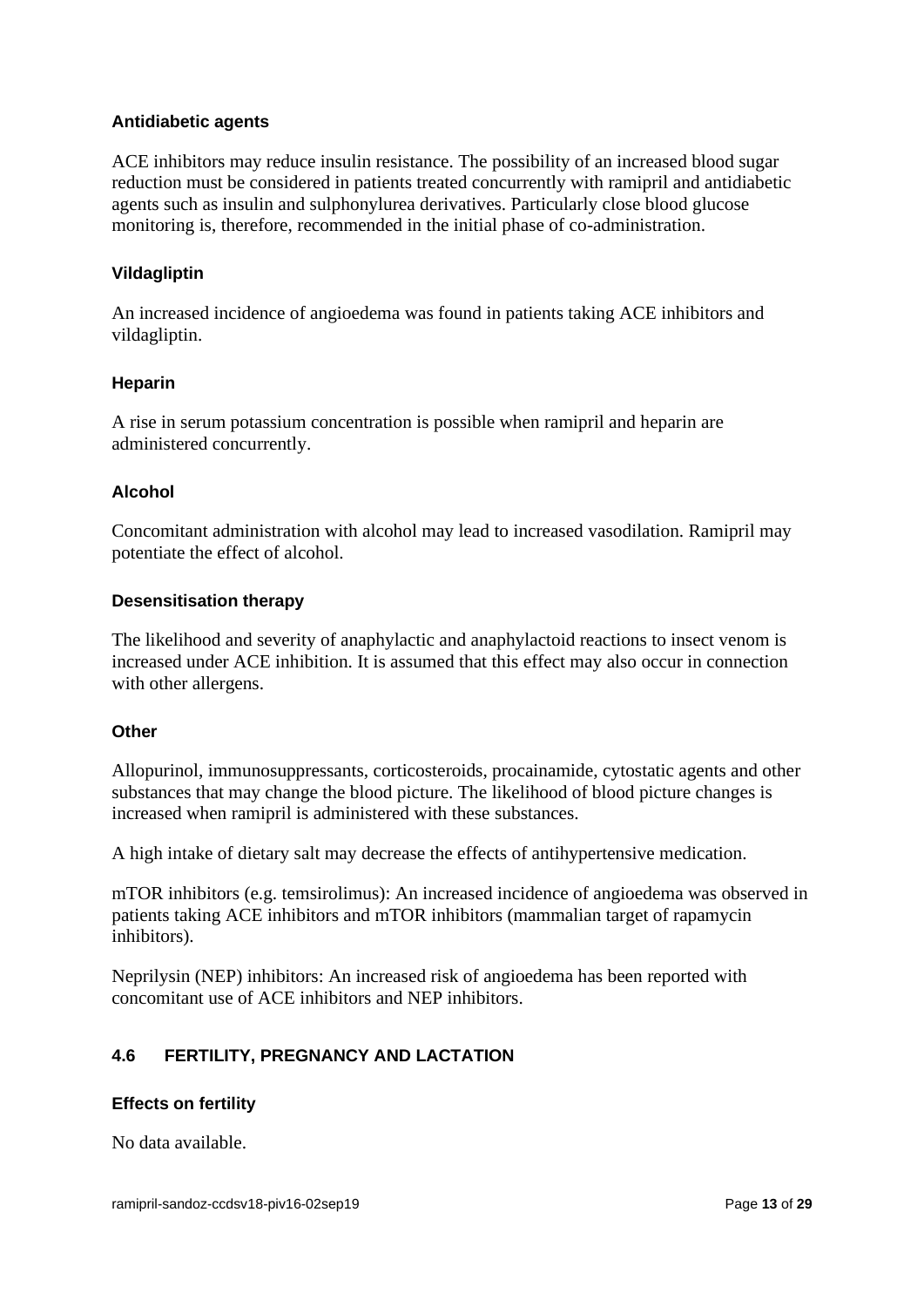#### **Antidiabetic agents**

ACE inhibitors may reduce insulin resistance. The possibility of an increased blood sugar reduction must be considered in patients treated concurrently with ramipril and antidiabetic agents such as insulin and sulphonylurea derivatives. Particularly close blood glucose monitoring is, therefore, recommended in the initial phase of co-administration.

#### **Vildagliptin**

An increased incidence of angioedema was found in patients taking ACE inhibitors and vildagliptin.

#### **Heparin**

A rise in serum potassium concentration is possible when ramipril and heparin are administered concurrently.

#### **Alcohol**

Concomitant administration with alcohol may lead to increased vasodilation. Ramipril may potentiate the effect of alcohol.

#### **Desensitisation therapy**

The likelihood and severity of anaphylactic and anaphylactoid reactions to insect venom is increased under ACE inhibition. It is assumed that this effect may also occur in connection with other allergens.

#### **Other**

Allopurinol, immunosuppressants, corticosteroids, procainamide, cytostatic agents and other substances that may change the blood picture. The likelihood of blood picture changes is increased when ramipril is administered with these substances.

A high intake of dietary salt may decrease the effects of antihypertensive medication.

mTOR inhibitors (e.g. temsirolimus): An increased incidence of angioedema was observed in patients taking ACE inhibitors and mTOR inhibitors (mammalian target of rapamycin inhibitors).

Neprilysin (NEP) inhibitors: An increased risk of angioedema has been reported with concomitant use of ACE inhibitors and NEP inhibitors.

# **4.6 FERTILITY, PREGNANCY AND LACTATION**

#### **Effects on fertility**

No data available.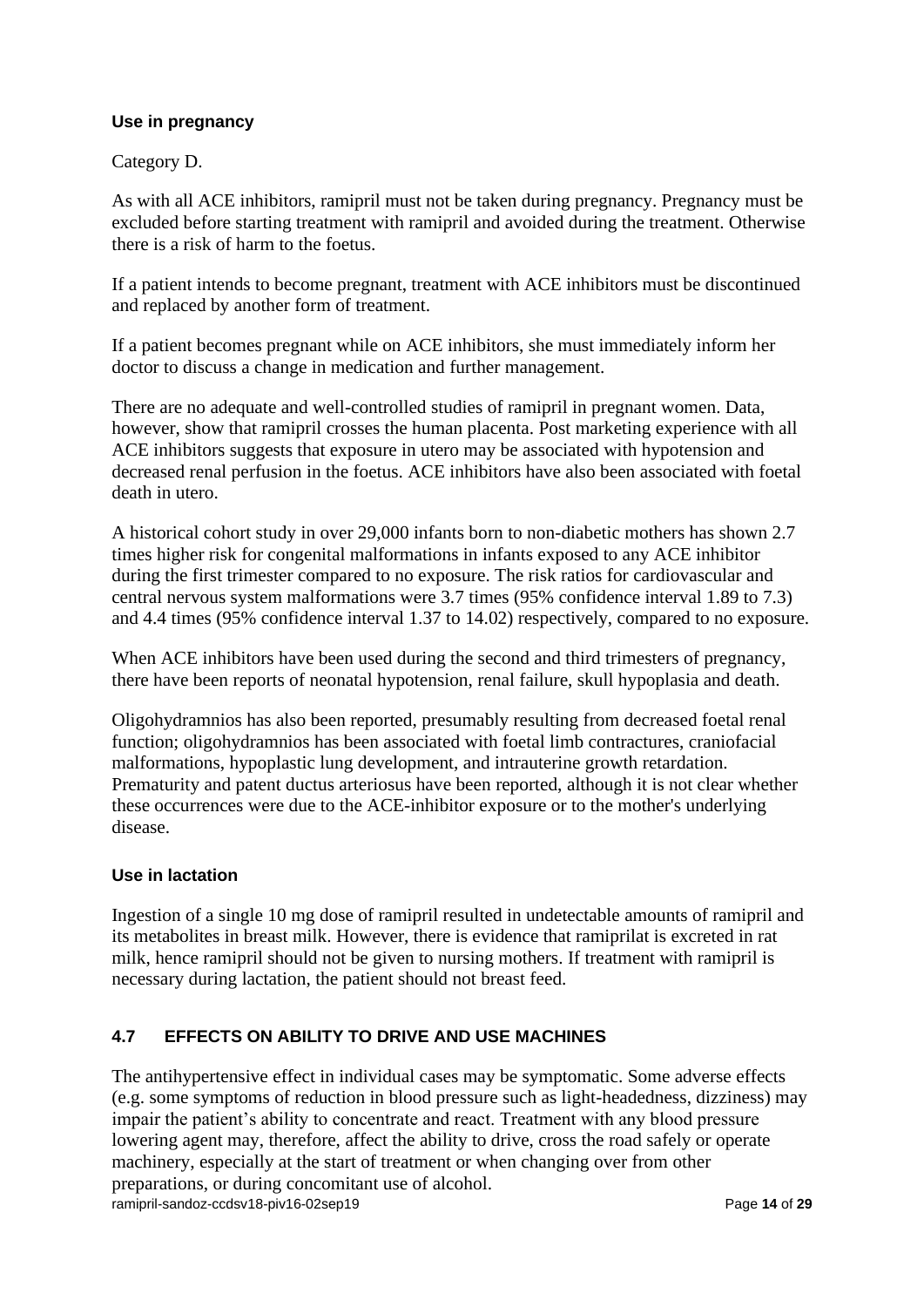# **Use in pregnancy**

Category D.

As with all ACE inhibitors, ramipril must not be taken during pregnancy. Pregnancy must be excluded before starting treatment with ramipril and avoided during the treatment. Otherwise there is a risk of harm to the foetus.

If a patient intends to become pregnant, treatment with ACE inhibitors must be discontinued and replaced by another form of treatment.

If a patient becomes pregnant while on ACE inhibitors, she must immediately inform her doctor to discuss a change in medication and further management.

There are no adequate and well-controlled studies of ramipril in pregnant women. Data, however, show that ramipril crosses the human placenta. Post marketing experience with all ACE inhibitors suggests that exposure in utero may be associated with hypotension and decreased renal perfusion in the foetus. ACE inhibitors have also been associated with foetal death in utero.

A historical cohort study in over 29,000 infants born to non-diabetic mothers has shown 2.7 times higher risk for congenital malformations in infants exposed to any ACE inhibitor during the first trimester compared to no exposure. The risk ratios for cardiovascular and central nervous system malformations were 3.7 times (95% confidence interval 1.89 to 7.3) and 4.4 times (95% confidence interval 1.37 to 14.02) respectively, compared to no exposure.

When ACE inhibitors have been used during the second and third trimesters of pregnancy, there have been reports of neonatal hypotension, renal failure, skull hypoplasia and death.

Oligohydramnios has also been reported, presumably resulting from decreased foetal renal function; oligohydramnios has been associated with foetal limb contractures, craniofacial malformations, hypoplastic lung development, and intrauterine growth retardation. Prematurity and patent ductus arteriosus have been reported, although it is not clear whether these occurrences were due to the ACE-inhibitor exposure or to the mother's underlying disease.

# **Use in lactation**

Ingestion of a single 10 mg dose of ramipril resulted in undetectable amounts of ramipril and its metabolites in breast milk. However, there is evidence that ramiprilat is excreted in rat milk, hence ramipril should not be given to nursing mothers. If treatment with ramipril is necessary during lactation, the patient should not breast feed.

# **4.7 EFFECTS ON ABILITY TO DRIVE AND USE MACHINES**

ramipril-sandoz-ccdsv18-piv16-02sep19 Page 14 of 29 The antihypertensive effect in individual cases may be symptomatic. Some adverse effects (e.g. some symptoms of reduction in blood pressure such as light-headedness, dizziness) may impair the patient's ability to concentrate and react. Treatment with any blood pressure lowering agent may, therefore, affect the ability to drive, cross the road safely or operate machinery, especially at the start of treatment or when changing over from other preparations, or during concomitant use of alcohol.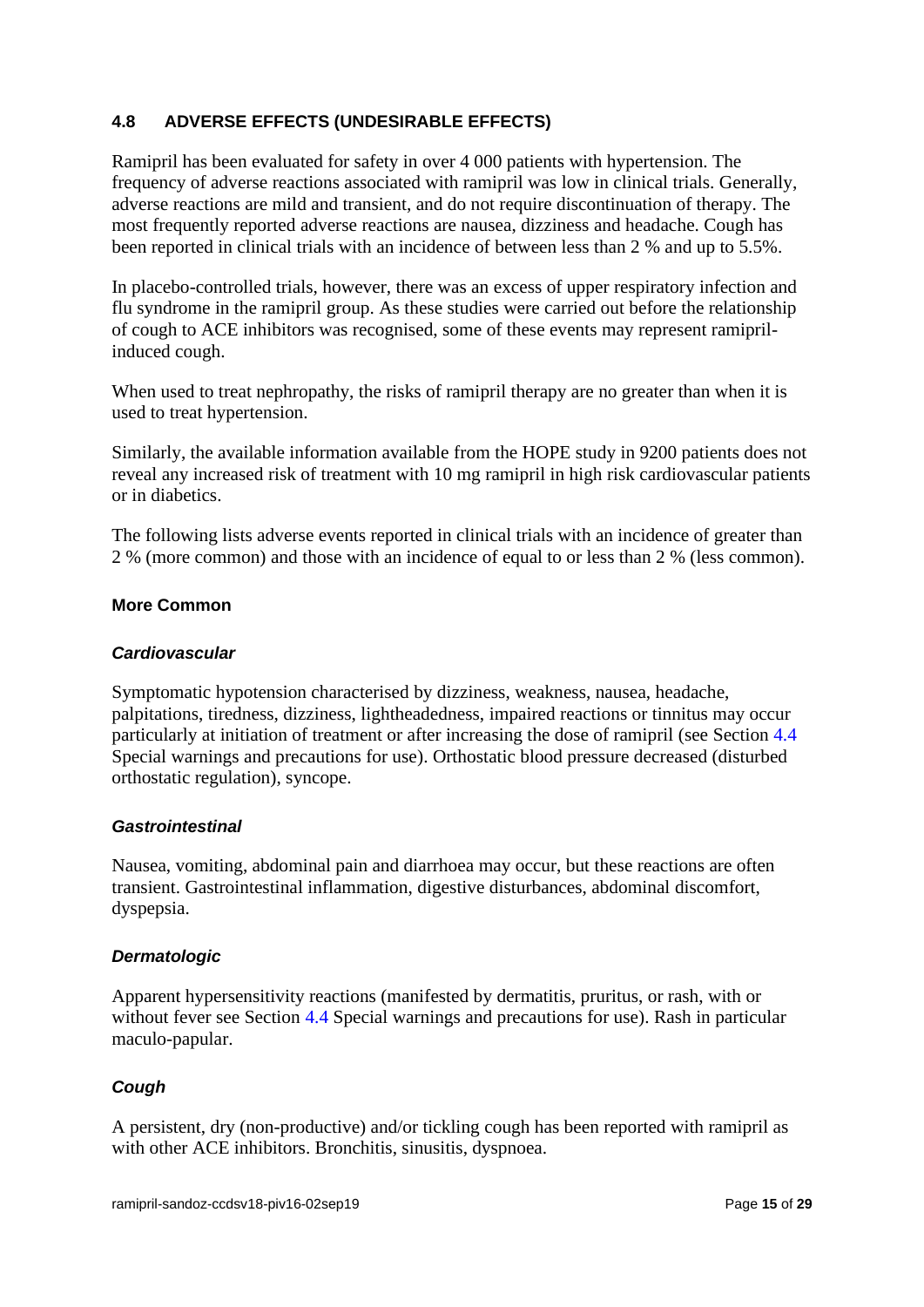# **4.8 ADVERSE EFFECTS (UNDESIRABLE EFFECTS)**

Ramipril has been evaluated for safety in over 4 000 patients with hypertension. The frequency of adverse reactions associated with ramipril was low in clinical trials. Generally, adverse reactions are mild and transient, and do not require discontinuation of therapy. The most frequently reported adverse reactions are nausea, dizziness and headache. Cough has been reported in clinical trials with an incidence of between less than 2 % and up to 5.5%.

In placebo-controlled trials, however, there was an excess of upper respiratory infection and flu syndrome in the ramipril group. As these studies were carried out before the relationship of cough to ACE inhibitors was recognised, some of these events may represent ramiprilinduced cough.

When used to treat nephropathy, the risks of ramipril therapy are no greater than when it is used to treat hypertension.

Similarly, the available information available from the HOPE study in 9200 patients does not reveal any increased risk of treatment with 10 mg ramipril in high risk cardiovascular patients or in diabetics.

The following lists adverse events reported in clinical trials with an incidence of greater than 2 % (more common) and those with an incidence of equal to or less than 2 % (less common).

#### **More Common**

#### *Cardiovascular*

Symptomatic hypotension characterised by dizziness, weakness, nausea, headache, palpitations, tiredness, dizziness, lightheadedness, impaired reactions or tinnitus may occur particularly at initiation of treatment or after increasing the dose of ramipril (see Section 4.4 Special warnings and precautions for use). Orthostatic blood pressure decreased (disturbed orthostatic regulation), syncope.

#### *Gastrointestinal*

Nausea, vomiting, abdominal pain and diarrhoea may occur, but these reactions are often transient. Gastrointestinal inflammation, digestive disturbances, abdominal discomfort, dyspepsia.

## *Dermatologic*

Apparent hypersensitivity reactions (manifested by dermatitis, pruritus, or rash, with or without fever see Section 4.4 Special warnings and precautions for use). Rash in particular maculo-papular.

## *Cough*

A persistent, dry (non-productive) and/or tickling cough has been reported with ramipril as with other ACE inhibitors. Bronchitis, sinusitis, dyspnoea.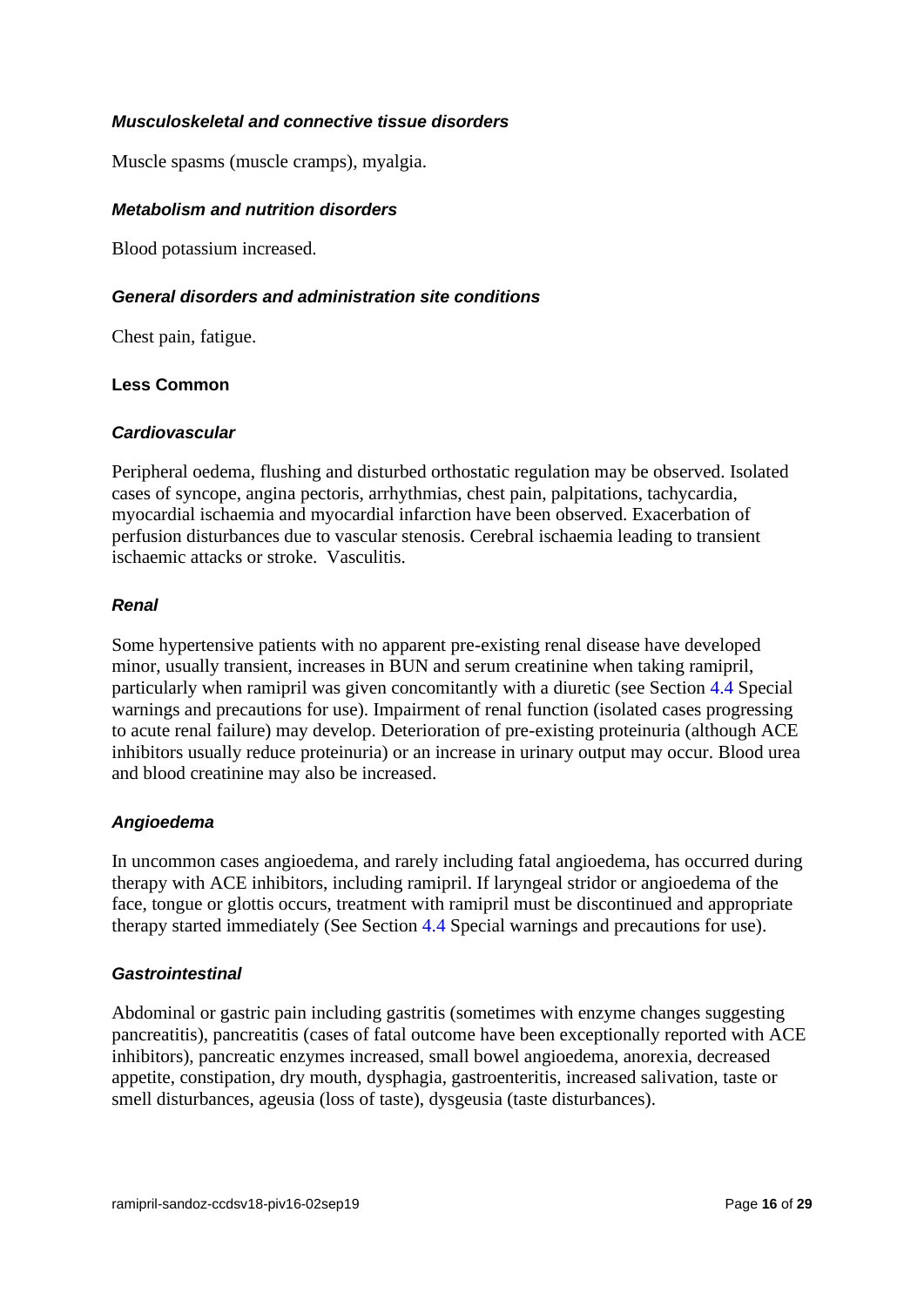#### *Musculoskeletal and connective tissue disorders*

Muscle spasms (muscle cramps), myalgia.

#### *Metabolism and nutrition disorders*

Blood potassium increased.

#### *General disorders and administration site conditions*

Chest pain, fatigue.

## **Less Common**

#### *Cardiovascular*

Peripheral oedema, flushing and disturbed orthostatic regulation may be observed. Isolated cases of syncope, angina pectoris, arrhythmias, chest pain, palpitations, tachycardia, myocardial ischaemia and myocardial infarction have been observed. Exacerbation of perfusion disturbances due to vascular stenosis. Cerebral ischaemia leading to transient ischaemic attacks or stroke. Vasculitis.

#### *Renal*

Some hypertensive patients with no apparent pre-existing renal disease have developed minor, usually transient, increases in BUN and serum creatinine when taking ramipril, particularly when ramipril was given concomitantly with a diuretic (see Section 4.4 Special warnings and precautions for use). Impairment of renal function (isolated cases progressing to acute renal failure) may develop. Deterioration of pre-existing proteinuria (although ACE inhibitors usually reduce proteinuria) or an increase in urinary output may occur. Blood urea and blood creatinine may also be increased.

#### *Angioedema*

In uncommon cases angioedema, and rarely including fatal angioedema, has occurred during therapy with ACE inhibitors, including ramipril. If laryngeal stridor or angioedema of the face, tongue or glottis occurs, treatment with ramipril must be discontinued and appropriate therapy started immediately (See Section 4.4 Special warnings and precautions for use).

#### *Gastrointestinal*

Abdominal or gastric pain including gastritis (sometimes with enzyme changes suggesting pancreatitis), pancreatitis (cases of fatal outcome have been exceptionally reported with ACE inhibitors), pancreatic enzymes increased, small bowel angioedema, anorexia, decreased appetite, constipation, dry mouth, dysphagia, gastroenteritis, increased salivation, taste or smell disturbances, ageusia (loss of taste), dysgeusia (taste disturbances).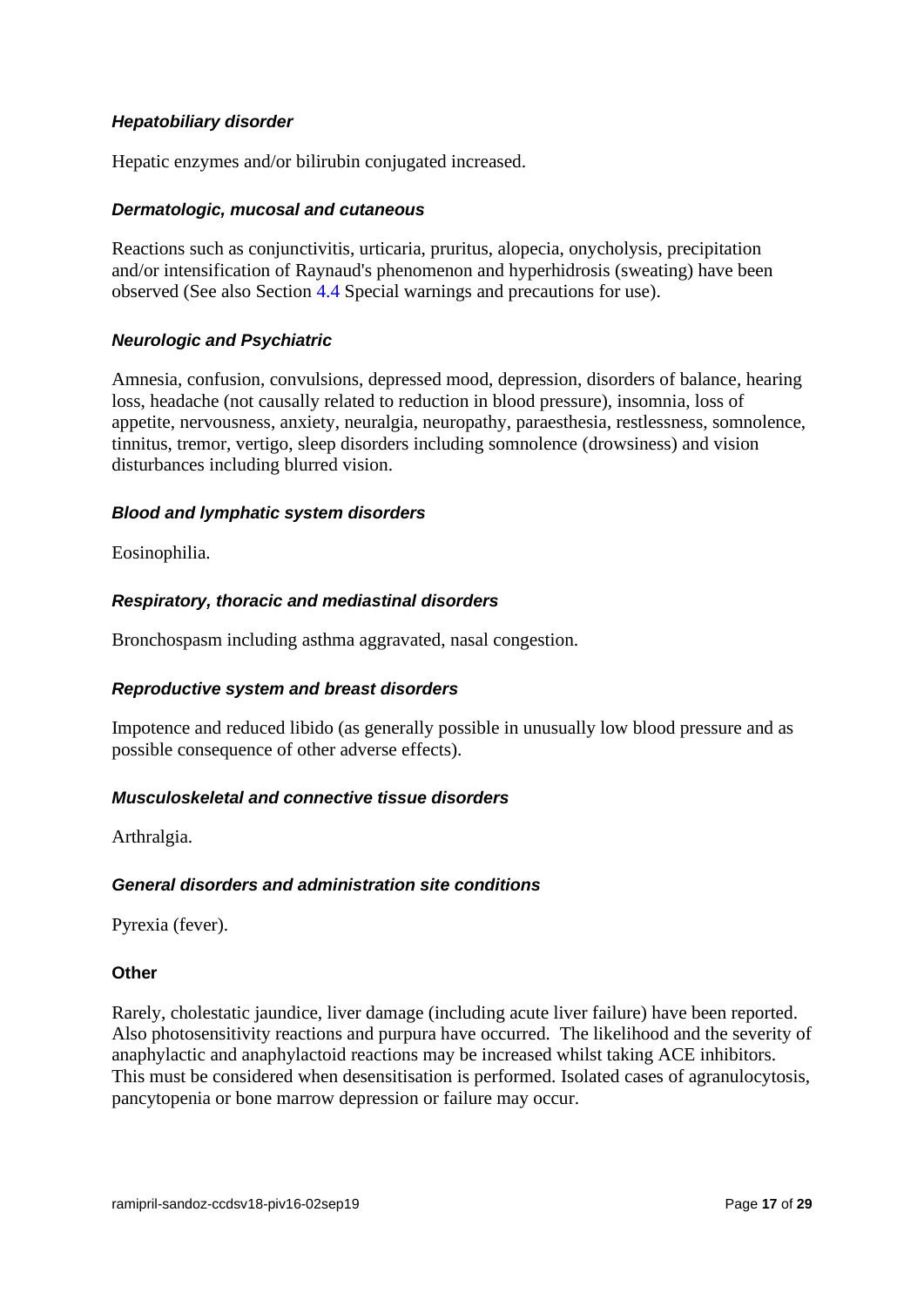## *Hepatobiliary disorder*

Hepatic enzymes and/or bilirubin conjugated increased.

#### *Dermatologic, mucosal and cutaneous*

Reactions such as conjunctivitis, urticaria, pruritus, alopecia, onycholysis, precipitation and/or intensification of Raynaud's phenomenon and hyperhidrosis (sweating) have been observed (See also Section 4.4 Special warnings and precautions for use).

#### *Neurologic and Psychiatric*

Amnesia, confusion, convulsions, depressed mood, depression, disorders of balance, hearing loss, headache (not causally related to reduction in blood pressure), insomnia, loss of appetite, nervousness, anxiety, neuralgia, neuropathy, paraesthesia, restlessness, somnolence, tinnitus, tremor, vertigo, sleep disorders including somnolence (drowsiness) and vision disturbances including blurred vision.

#### *Blood and lymphatic system disorders*

Eosinophilia.

#### *Respiratory, thoracic and mediastinal disorders*

Bronchospasm including asthma aggravated, nasal congestion.

#### *Reproductive system and breast disorders*

Impotence and reduced libido (as generally possible in unusually low blood pressure and as possible consequence of other adverse effects).

#### *Musculoskeletal and connective tissue disorders*

Arthralgia.

## *General disorders and administration site conditions*

Pyrexia (fever).

#### **Other**

Rarely, cholestatic jaundice, liver damage (including acute liver failure) have been reported. Also photosensitivity reactions and purpura have occurred. The likelihood and the severity of anaphylactic and anaphylactoid reactions may be increased whilst taking ACE inhibitors. This must be considered when desensitisation is performed. Isolated cases of agranulocytosis, pancytopenia or bone marrow depression or failure may occur.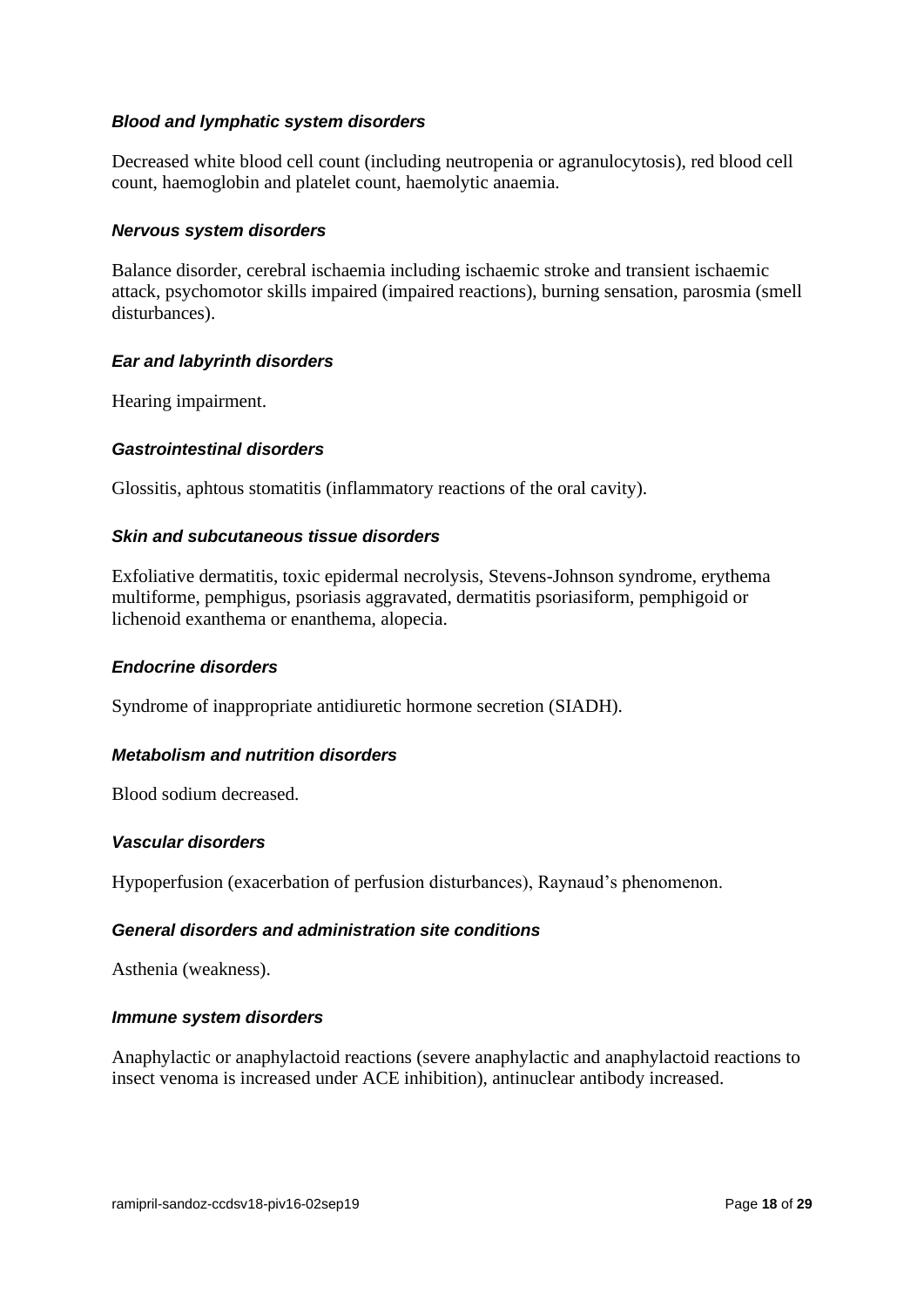## *Blood and lymphatic system disorders*

Decreased white blood cell count (including neutropenia or agranulocytosis), red blood cell count, haemoglobin and platelet count, haemolytic anaemia.

#### *Nervous system disorders*

Balance disorder, cerebral ischaemia including ischaemic stroke and transient ischaemic attack, psychomotor skills impaired (impaired reactions), burning sensation, parosmia (smell disturbances).

#### *Ear and labyrinth disorders*

Hearing impairment.

#### *Gastrointestinal disorders*

Glossitis, aphtous stomatitis (inflammatory reactions of the oral cavity).

## *Skin and subcutaneous tissue disorders*

Exfoliative dermatitis, toxic epidermal necrolysis, Stevens-Johnson syndrome, erythema multiforme, pemphigus, psoriasis aggravated, dermatitis psoriasiform, pemphigoid or lichenoid exanthema or enanthema, alopecia.

#### *Endocrine disorders*

Syndrome of inappropriate antidiuretic hormone secretion (SIADH).

## *Metabolism and nutrition disorders*

Blood sodium decreased.

#### *Vascular disorders*

Hypoperfusion (exacerbation of perfusion disturbances), Raynaud's phenomenon.

#### *General disorders and administration site conditions*

Asthenia (weakness).

#### *Immune system disorders*

Anaphylactic or anaphylactoid reactions (severe anaphylactic and anaphylactoid reactions to insect venoma is increased under ACE inhibition), antinuclear antibody increased.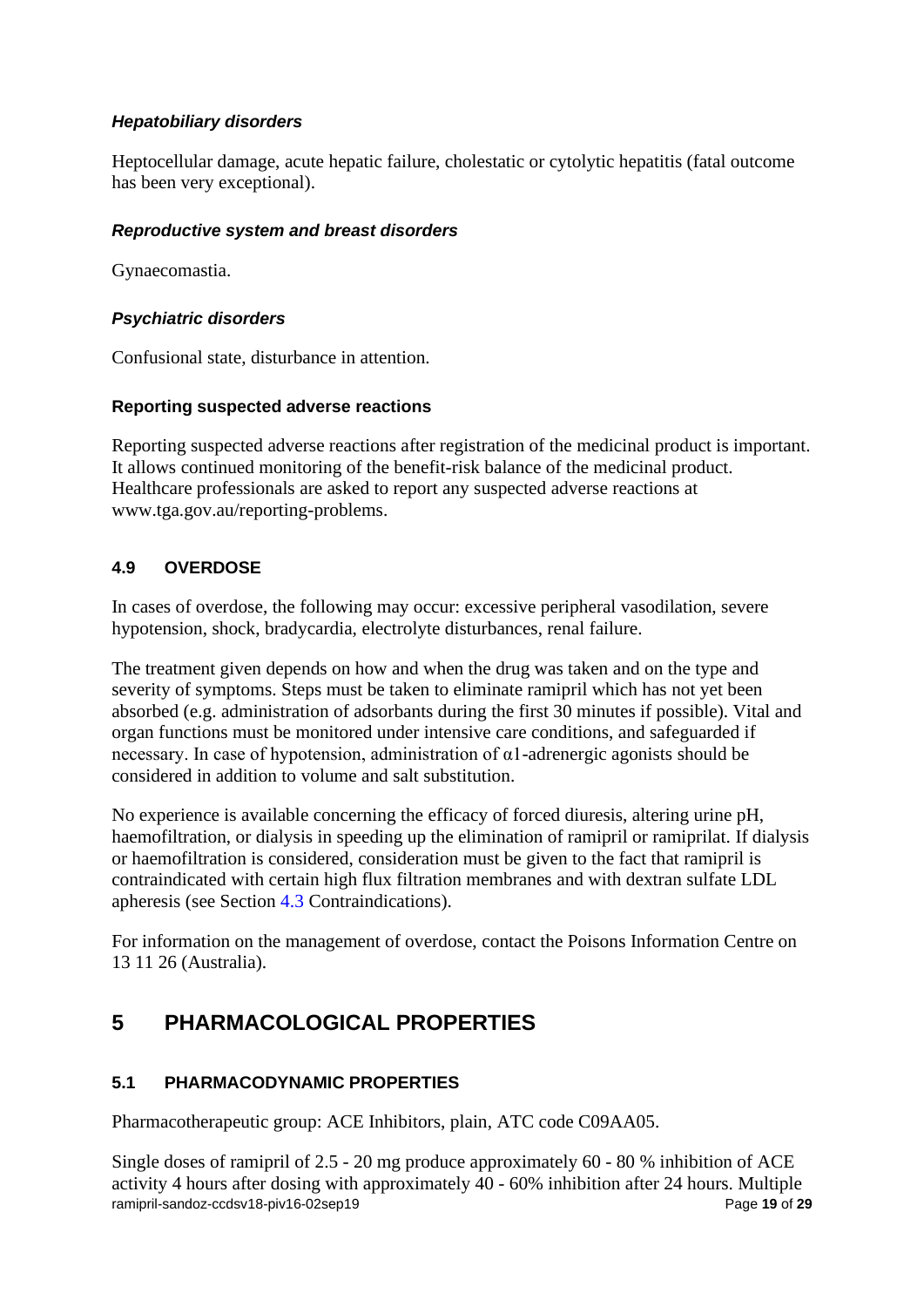# *Hepatobiliary disorders*

Heptocellular damage, acute hepatic failure, cholestatic or cytolytic hepatitis (fatal outcome has been very exceptional).

# *Reproductive system and breast disorders*

Gynaecomastia.

# *Psychiatric disorders*

Confusional state, disturbance in attention.

# **Reporting suspected adverse reactions**

Reporting suspected adverse reactions after registration of the medicinal product is important. It allows continued monitoring of the benefit-risk balance of the medicinal product. Healthcare professionals are asked to report any suspected adverse reactions at [www.tga.gov.au/reporting-problems.](http://www.tga.gov.au/reporting-problems)

# **4.9 OVERDOSE**

In cases of overdose, the following may occur: excessive peripheral vasodilation, severe hypotension, shock, bradycardia, electrolyte disturbances, renal failure.

The treatment given depends on how and when the drug was taken and on the type and severity of symptoms. Steps must be taken to eliminate ramipril which has not yet been absorbed (e.g. administration of adsorbants during the first 30 minutes if possible). Vital and organ functions must be monitored under intensive care conditions, and safeguarded if necessary. In case of hypotension, administration of  $\alpha$ 1-adrenergic agonists should be considered in addition to volume and salt substitution.

No experience is available concerning the efficacy of forced diuresis, altering urine pH, haemofiltration, or dialysis in speeding up the elimination of ramipril or ramiprilat. If dialysis or haemofiltration is considered, consideration must be given to the fact that ramipril is contraindicated with certain high flux filtration membranes and with dextran sulfate LDL apheresis (see Section 4.3 Contraindications).

For information on the management of overdose, contact the Poisons Information Centre on 13 11 26 (Australia).

# **5 PHARMACOLOGICAL PROPERTIES**

# **5.1 PHARMACODYNAMIC PROPERTIES**

Pharmacotherapeutic group: ACE Inhibitors, plain, ATC code C09AA05.

ramipril-sandoz-ccdsv18-piv16-02sep19 Page 19 of 29 Single doses of ramipril of 2.5 - 20 mg produce approximately 60 - 80 % inhibition of ACE activity 4 hours after dosing with approximately 40 - 60% inhibition after 24 hours. Multiple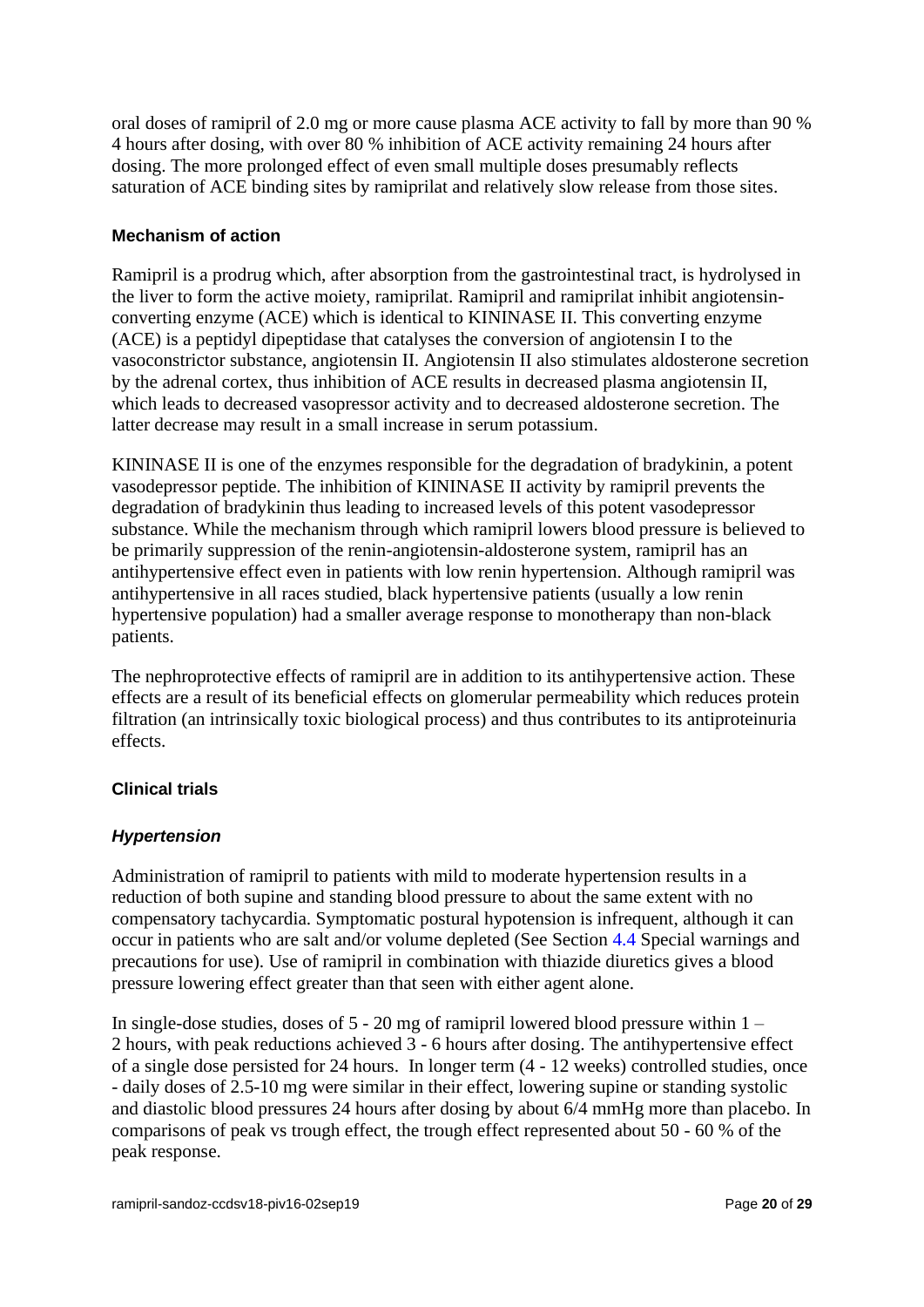oral doses of ramipril of 2.0 mg or more cause plasma ACE activity to fall by more than 90 % 4 hours after dosing, with over 80 % inhibition of ACE activity remaining 24 hours after dosing. The more prolonged effect of even small multiple doses presumably reflects saturation of ACE binding sites by ramiprilat and relatively slow release from those sites.

## **Mechanism of action**

Ramipril is a prodrug which, after absorption from the gastrointestinal tract, is hydrolysed in the liver to form the active moiety, ramiprilat. Ramipril and ramiprilat inhibit angiotensinconverting enzyme (ACE) which is identical to KININASE II. This converting enzyme (ACE) is a peptidyl dipeptidase that catalyses the conversion of angiotensin I to the vasoconstrictor substance, angiotensin II. Angiotensin II also stimulates aldosterone secretion by the adrenal cortex, thus inhibition of ACE results in decreased plasma angiotensin II, which leads to decreased vasopressor activity and to decreased aldosterone secretion. The latter decrease may result in a small increase in serum potassium.

KININASE II is one of the enzymes responsible for the degradation of bradykinin, a potent vasodepressor peptide. The inhibition of KININASE II activity by ramipril prevents the degradation of bradykinin thus leading to increased levels of this potent vasodepressor substance. While the mechanism through which ramipril lowers blood pressure is believed to be primarily suppression of the renin-angiotensin-aldosterone system, ramipril has an antihypertensive effect even in patients with low renin hypertension. Although ramipril was antihypertensive in all races studied, black hypertensive patients (usually a low renin hypertensive population) had a smaller average response to monotherapy than non-black patients.

The nephroprotective effects of ramipril are in addition to its antihypertensive action. These effects are a result of its beneficial effects on glomerular permeability which reduces protein filtration (an intrinsically toxic biological process) and thus contributes to its antiproteinuria effects.

# **Clinical trials**

## *Hypertension*

Administration of ramipril to patients with mild to moderate hypertension results in a reduction of both supine and standing blood pressure to about the same extent with no compensatory tachycardia. Symptomatic postural hypotension is infrequent, although it can occur in patients who are salt and/or volume depleted (See Section 4.4 Special warnings and precautions for use). Use of ramipril in combination with thiazide diuretics gives a blood pressure lowering effect greater than that seen with either agent alone.

In single-dose studies, doses of 5 - 20 mg of ramipril lowered blood pressure within 1 – 2 hours, with peak reductions achieved 3 - 6 hours after dosing. The antihypertensive effect of a single dose persisted for 24 hours. In longer term (4 - 12 weeks) controlled studies, once - daily doses of 2.5-10 mg were similar in their effect, lowering supine or standing systolic and diastolic blood pressures 24 hours after dosing by about 6/4 mmHg more than placebo. In comparisons of peak vs trough effect, the trough effect represented about 50 - 60 % of the peak response.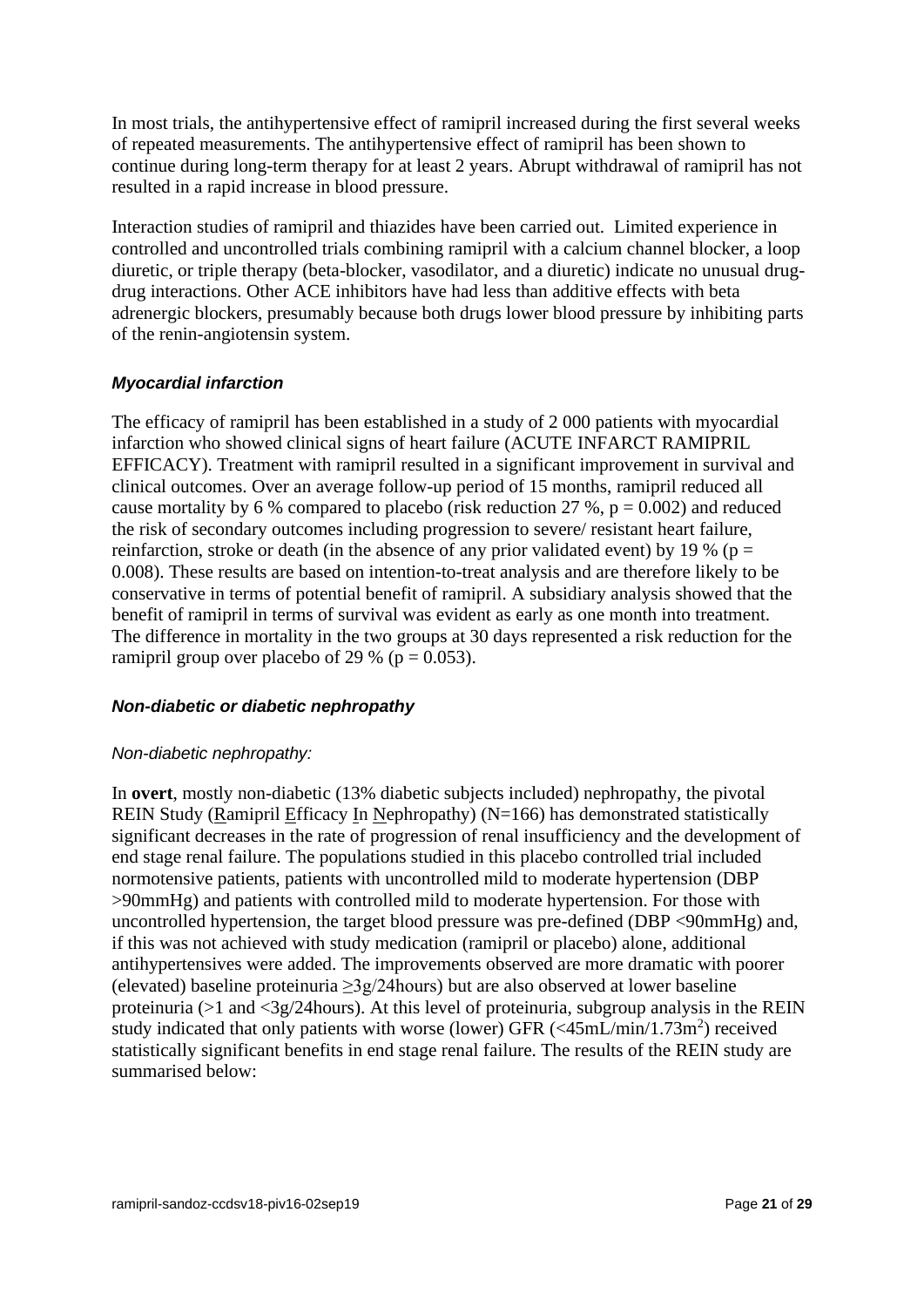In most trials, the antihypertensive effect of ramipril increased during the first several weeks of repeated measurements. The antihypertensive effect of ramipril has been shown to continue during long-term therapy for at least 2 years. Abrupt withdrawal of ramipril has not resulted in a rapid increase in blood pressure.

Interaction studies of ramipril and thiazides have been carried out. Limited experience in controlled and uncontrolled trials combining ramipril with a calcium channel blocker, a loop diuretic, or triple therapy (beta-blocker, vasodilator, and a diuretic) indicate no unusual drugdrug interactions. Other ACE inhibitors have had less than additive effects with beta adrenergic blockers, presumably because both drugs lower blood pressure by inhibiting parts of the renin-angiotensin system.

## *Myocardial infarction*

The efficacy of ramipril has been established in a study of 2 000 patients with myocardial infarction who showed clinical signs of heart failure (ACUTE INFARCT RAMIPRIL EFFICACY). Treatment with ramipril resulted in a significant improvement in survival and clinical outcomes. Over an average follow-up period of 15 months, ramipril reduced all cause mortality by 6 % compared to placebo (risk reduction 27 %,  $p = 0.002$ ) and reduced the risk of secondary outcomes including progression to severe/ resistant heart failure, reinfarction, stroke or death (in the absence of any prior validated event) by 19 % ( $p =$ 0.008). These results are based on intention-to-treat analysis and are therefore likely to be conservative in terms of potential benefit of ramipril. A subsidiary analysis showed that the benefit of ramipril in terms of survival was evident as early as one month into treatment. The difference in mortality in the two groups at 30 days represented a risk reduction for the ramipril group over placebo of 29 % ( $p = 0.053$ ).

## *Non-diabetic or diabetic nephropathy*

## *Non-diabetic nephropathy:*

In **overt**, mostly non-diabetic (13% diabetic subjects included) nephropathy, the pivotal REIN Study (Ramipril Efficacy In Nephropathy) (N=166) has demonstrated statistically significant decreases in the rate of progression of renal insufficiency and the development of end stage renal failure. The populations studied in this placebo controlled trial included normotensive patients, patients with uncontrolled mild to moderate hypertension (DBP >90mmHg) and patients with controlled mild to moderate hypertension. For those with uncontrolled hypertension, the target blood pressure was pre-defined (DBP <90mmHg) and, if this was not achieved with study medication (ramipril or placebo) alone, additional antihypertensives were added. The improvements observed are more dramatic with poorer (elevated) baseline proteinuria  $\geq$ 3g/24hours) but are also observed at lower baseline proteinuria (>1 and <3g/24hours). At this level of proteinuria, subgroup analysis in the REIN study indicated that only patients with worse (lower) GFR  $\left(<\frac{45 \text{mL/min}}{1.73 \text{m}^2}\right)$  received statistically significant benefits in end stage renal failure. The results of the REIN study are summarised below: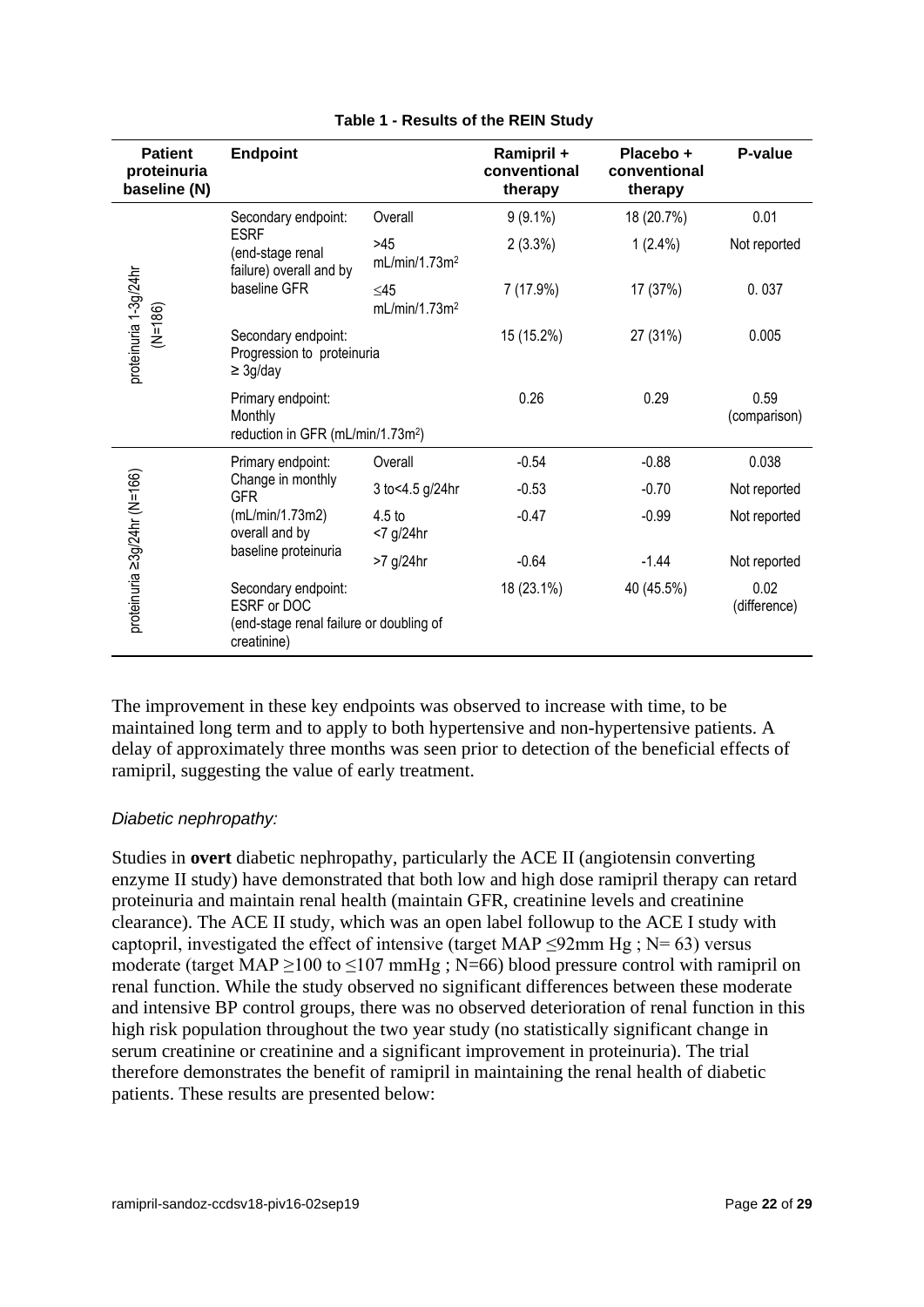| <b>Patient</b><br>proteinuria<br>baseline (N) | <b>Endpoint</b>                                                                                                   |                                        | Ramipril +<br>conventional<br>therapy | Placebo +<br>conventional<br>therapy | P-value              |
|-----------------------------------------------|-------------------------------------------------------------------------------------------------------------------|----------------------------------------|---------------------------------------|--------------------------------------|----------------------|
| proteinuria 1-3g/24hr<br>$(N=186)$            | Secondary endpoint:<br><b>ESRF</b><br>(end-stage renal<br>failure) overall and by<br>baseline GFR                 | Overall                                | $9(9.1\%)$                            | 18 (20.7%)                           | 0.01                 |
|                                               |                                                                                                                   | >45<br>mL/min/1.73m <sup>2</sup>       | $2(3.3\%)$                            | $1(2.4\%)$                           | Not reported         |
|                                               |                                                                                                                   | $\leq$ 45<br>mL/min/1.73m <sup>2</sup> | 7 (17.9%)                             | 17 (37%)                             | 0.037                |
|                                               | Secondary endpoint:<br>Progression to proteinuria<br>$\geq$ 3g/day                                                |                                        | 15 (15.2%)                            | 27 (31%)                             | 0.005                |
|                                               | Primary endpoint:<br>Monthly<br>reduction in GFR (mL/min/1.73m <sup>2</sup> )                                     |                                        | 0.26                                  | 0.29                                 | 0.59<br>(comparison) |
| proteinuria ≥3g/24hr (N=166)                  | Primary endpoint:<br>Change in monthly<br><b>GFR</b><br>(mL/min/1.73m2)<br>overall and by<br>baseline proteinuria | Overall                                | $-0.54$                               | $-0.88$                              | 0.038                |
|                                               |                                                                                                                   | 3 to<4.5 g/24hr                        | $-0.53$                               | $-0.70$                              | Not reported         |
|                                               |                                                                                                                   | 4.5 <sub>to</sub><br><7 g/24hr         | $-0.47$                               | $-0.99$                              | Not reported         |
|                                               |                                                                                                                   | >7 g/24hr                              | $-0.64$                               | $-1.44$                              | Not reported         |
|                                               | Secondary endpoint:<br>ESRE or DOC<br>(end-stage renal failure or doubling of<br>creatinine)                      |                                        | 18 (23.1%)                            | 40 (45.5%)                           | 0.02<br>(difference) |

#### **Table 1 - Results of the REIN Study**

The improvement in these key endpoints was observed to increase with time, to be maintained long term and to apply to both hypertensive and non-hypertensive patients. A delay of approximately three months was seen prior to detection of the beneficial effects of ramipril, suggesting the value of early treatment.

## *Diabetic nephropathy:*

Studies in **overt** diabetic nephropathy, particularly the ACE II (angiotensin converting enzyme II study) have demonstrated that both low and high dose ramipril therapy can retard proteinuria and maintain renal health (maintain GFR, creatinine levels and creatinine clearance). The ACE II study, which was an open label followup to the ACE I study with captopril, investigated the effect of intensive (target MAP <92mm Hg;  $N = 63$ ) versus moderate (target MAP  $\geq$ 100 to  $\leq$ 107 mmHg; N=66) blood pressure control with ramipril on renal function. While the study observed no significant differences between these moderate and intensive BP control groups, there was no observed deterioration of renal function in this high risk population throughout the two year study (no statistically significant change in serum creatinine or creatinine and a significant improvement in proteinuria). The trial therefore demonstrates the benefit of ramipril in maintaining the renal health of diabetic patients. These results are presented below: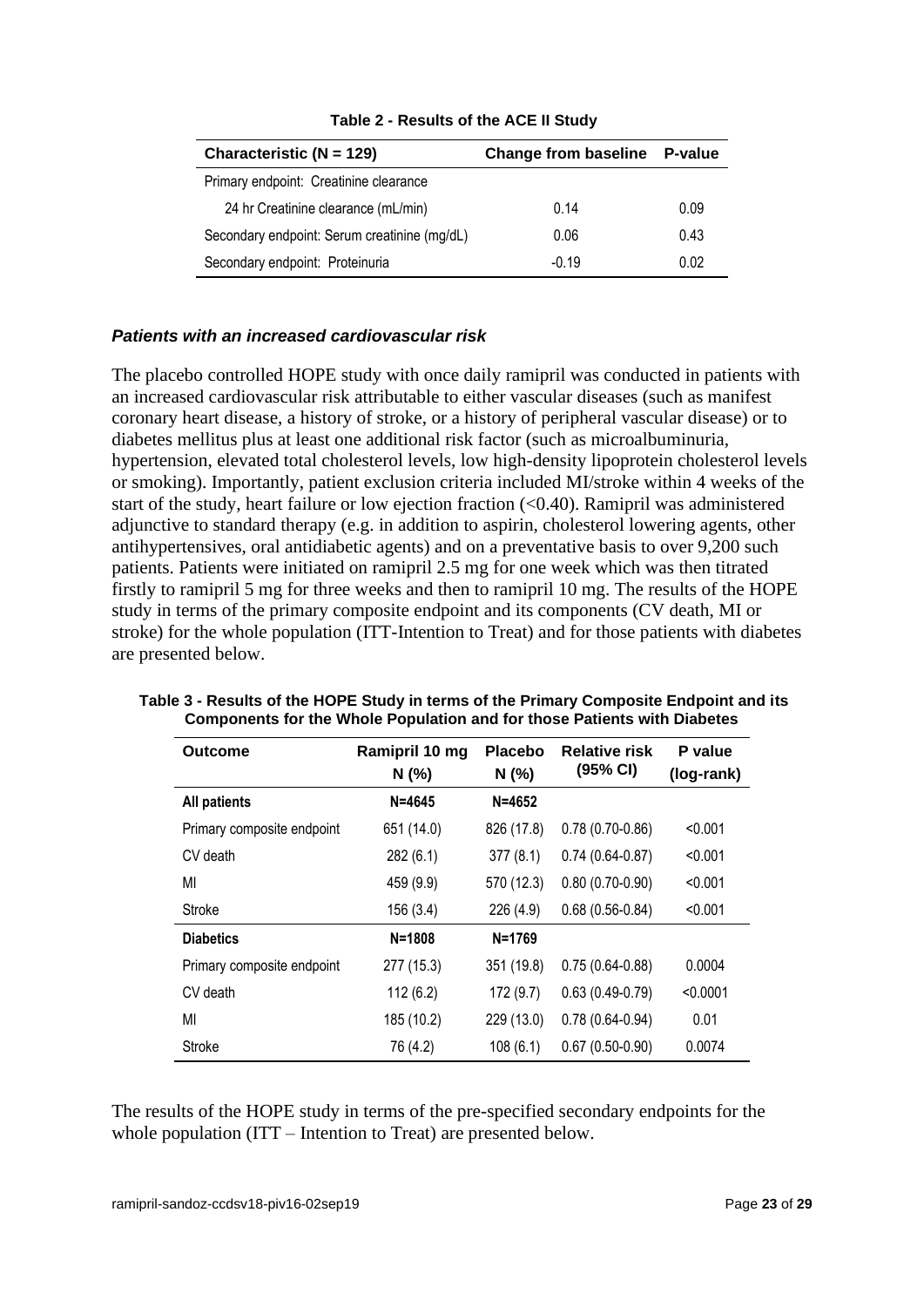| Characteristic ( $N = 129$ )                 | <b>Change from baseline</b> | P-value |
|----------------------------------------------|-----------------------------|---------|
| Primary endpoint: Creatinine clearance       |                             |         |
| 24 hr Creatinine clearance (mL/min)          | 0.14                        | 0.09    |
| Secondary endpoint: Serum creatinine (mg/dL) | 0.06                        | 0.43    |
| Secondary endpoint: Proteinuria              | $-0.19$                     | 0.02    |

**Table 2 - Results of the ACE II Study**

## *Patients with an increased cardiovascular risk*

The placebo controlled HOPE study with once daily ramipril was conducted in patients with an increased cardiovascular risk attributable to either vascular diseases (such as manifest coronary heart disease, a history of stroke, or a history of peripheral vascular disease) or to diabetes mellitus plus at least one additional risk factor (such as microalbuminuria, hypertension, elevated total cholesterol levels, low high-density lipoprotein cholesterol levels or smoking). Importantly, patient exclusion criteria included MI/stroke within 4 weeks of the start of the study, heart failure or low ejection fraction (<0.40). Ramipril was administered adjunctive to standard therapy (e.g. in addition to aspirin, cholesterol lowering agents, other antihypertensives, oral antidiabetic agents) and on a preventative basis to over 9,200 such patients. Patients were initiated on ramipril 2.5 mg for one week which was then titrated firstly to ramipril 5 mg for three weeks and then to ramipril 10 mg. The results of the HOPE study in terms of the primary composite endpoint and its components (CV death, MI or stroke) for the whole population (ITT-Intention to Treat) and for those patients with diabetes are presented below.

| Outcome                    | Ramipril 10 mg<br>N(%) | <b>Placebo</b><br>N(% | <b>Relative risk</b><br>(95% CI) | P value<br>(log-rank) |
|----------------------------|------------------------|-----------------------|----------------------------------|-----------------------|
| <b>All patients</b>        | $N = 4645$             | $N = 4652$            |                                  |                       |
| Primary composite endpoint | 651 (14.0)             | 826 (17.8)            | $0.78(0.70-0.86)$                | < 0.001               |
| CV death                   | 282 (6.1)              | 377(8.1)              | $0.74(0.64-0.87)$                | < 0.001               |
| MI                         | 459 (9.9)              | 570 (12.3)            | $0.80(0.70-0.90)$                | < 0.001               |
| <b>Stroke</b>              | 156 (3.4)              | 226 (4.9)             | $0.68(0.56-0.84)$                | < 0.001               |
| <b>Diabetics</b>           | $N = 1808$             | $N = 1769$            |                                  |                       |
| Primary composite endpoint | 277 (15.3)             | 351 (19.8)            | $0.75(0.64-0.88)$                | 0.0004                |
| CV death                   | 112(6.2)               | 172(9.7)              | $0.63(0.49-0.79)$                | < 0.0001              |
| MI                         | 185 (10.2)             | 229 (13.0)            | $0.78(0.64 - 0.94)$              | 0.01                  |
| <b>Stroke</b>              | 76 (4.2)               | 108(6.1)              | $0.67(0.50-0.90)$                | 0.0074                |

**Table 3 - Results of the HOPE Study in terms of the Primary Composite Endpoint and its Components for the Whole Population and for those Patients with Diabetes**

The results of the HOPE study in terms of the pre-specified secondary endpoints for the whole population (ITT – Intention to Treat) are presented below.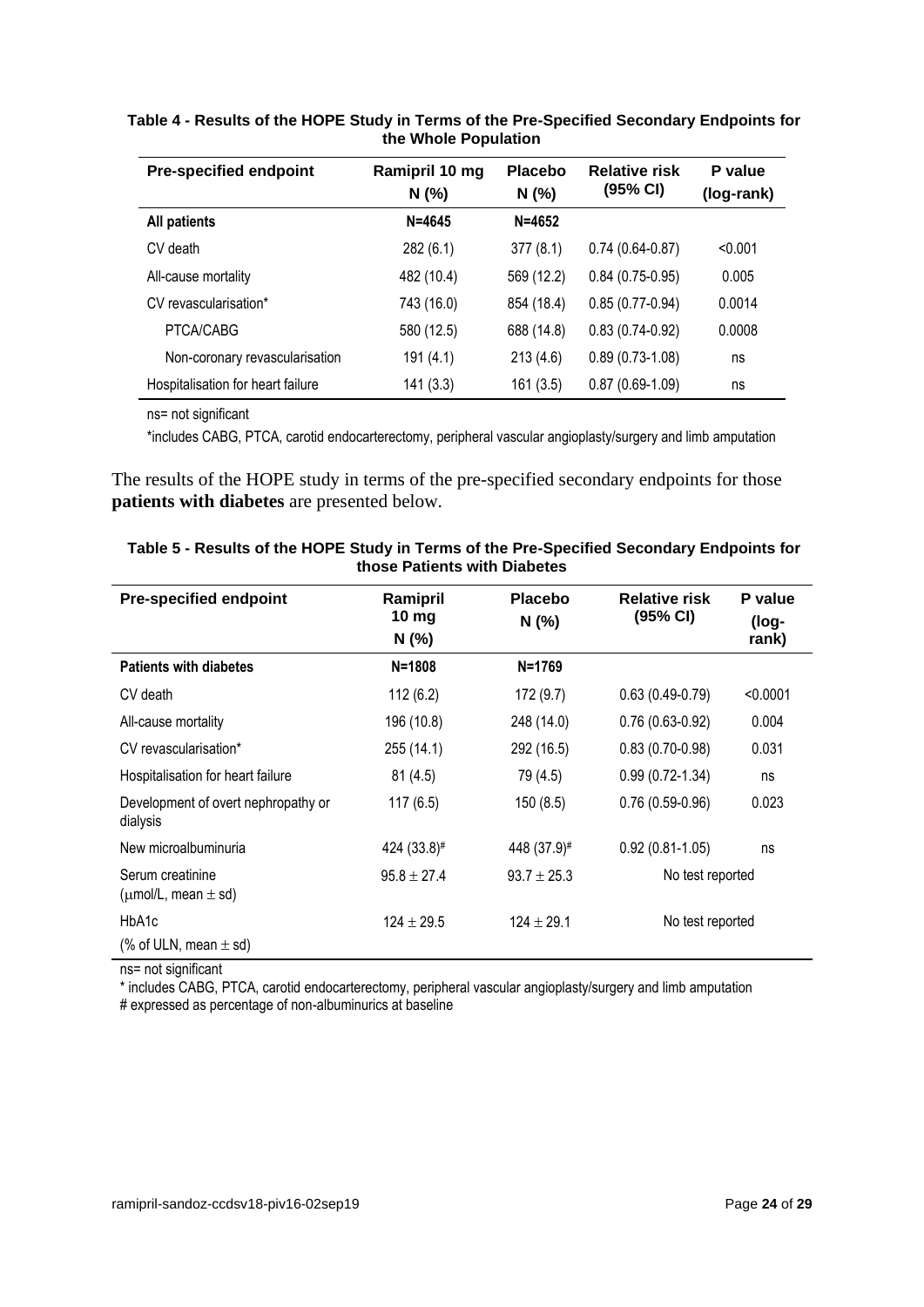| <b>Pre-specified endpoint</b>     | Ramipril 10 mg<br>N(% ) | <b>Placebo</b><br>N(%) | <b>Relative risk</b><br>(95% CI) | P value<br>(log-rank) |
|-----------------------------------|-------------------------|------------------------|----------------------------------|-----------------------|
| <b>All patients</b>               | $N = 4645$              | $N = 4652$             |                                  |                       |
| CV death                          | 282(6.1)                | 377(8.1)               | $0.74(0.64-0.87)$                | < 0.001               |
| All-cause mortality               | 482 (10.4)              | 569 (12.2)             | $0.84(0.75-0.95)$                | 0.005                 |
| CV revascularisation*             | 743 (16.0)              | 854 (18.4)             | $0.85(0.77-0.94)$                | 0.0014                |
| PTCA/CABG                         | 580 (12.5)              | 688 (14.8)             | $0.83(0.74-0.92)$                | 0.0008                |
| Non-coronary revascularisation    | 191 (4.1)               | 213(4.6)               | $0.89(0.73-1.08)$                | ns                    |
| Hospitalisation for heart failure | 141(3.3)                | 161(3.5)               | $0.87(0.69-1.09)$                | ns                    |

**Table 4 - Results of the HOPE Study in Terms of the Pre-Specified Secondary Endpoints for the Whole Population**

ns= not significant

\*includes CABG, PTCA, carotid endocarterectomy, peripheral vascular angioplasty/surgery and limb amputation

The results of the HOPE study in terms of the pre-specified secondary endpoints for those **patients with diabetes** are presented below.

| <b>Pre-specified endpoint</b>                     | Ramipril<br>10 mg<br>N(% | Placebo<br>N(%) | <b>Relative risk</b><br>(95% CI) | P value<br>(log-<br>rank) |
|---------------------------------------------------|--------------------------|-----------------|----------------------------------|---------------------------|
| <b>Patients with diabetes</b>                     | $N = 1808$               | $N = 1769$      |                                  |                           |
| CV death                                          | 112(6.2)                 | 172(9.7)        | $0.63(0.49-0.79)$                | < 0.0001                  |
| All-cause mortality                               | 196 (10.8)               | 248 (14.0)      | $0.76(0.63-0.92)$                | 0.004                     |
| CV revascularisation*                             | 255(14.1)                | 292 (16.5)      | $0.83(0.70-0.98)$                | 0.031                     |
| Hospitalisation for heart failure                 | 81(4.5)                  | 79 (4.5)        | $0.99(0.72-1.34)$                | ns                        |
| Development of overt nephropathy or<br>dialysis   | 117(6.5)                 | 150(8.5)        | $0.76(0.59-0.96)$                | 0.023                     |
| New microalbuminuria                              | 424 (33.8)#              | 448 (37.9)#     | $0.92(0.81 - 1.05)$              | ns                        |
| Serum creatinine<br>( $\mu$ mol/L, mean $\pm$ sd) | $95.8 \pm 27.4$          | $93.7 \pm 25.3$ | No test reported                 |                           |
| HbA1c                                             | $124 \pm 29.5$           | $124 \pm 29.1$  | No test reported                 |                           |
| (% of ULN, mean $\pm$ sd)                         |                          |                 |                                  |                           |

| Table 5 - Results of the HOPE Study in Terms of the Pre-Specified Secondary Endpoints for |
|-------------------------------------------------------------------------------------------|
| those Patients with Diabetes                                                              |

ns= not significant

\* includes CABG, PTCA, carotid endocarterectomy, peripheral vascular angioplasty/surgery and limb amputation # expressed as percentage of non-albuminurics at baseline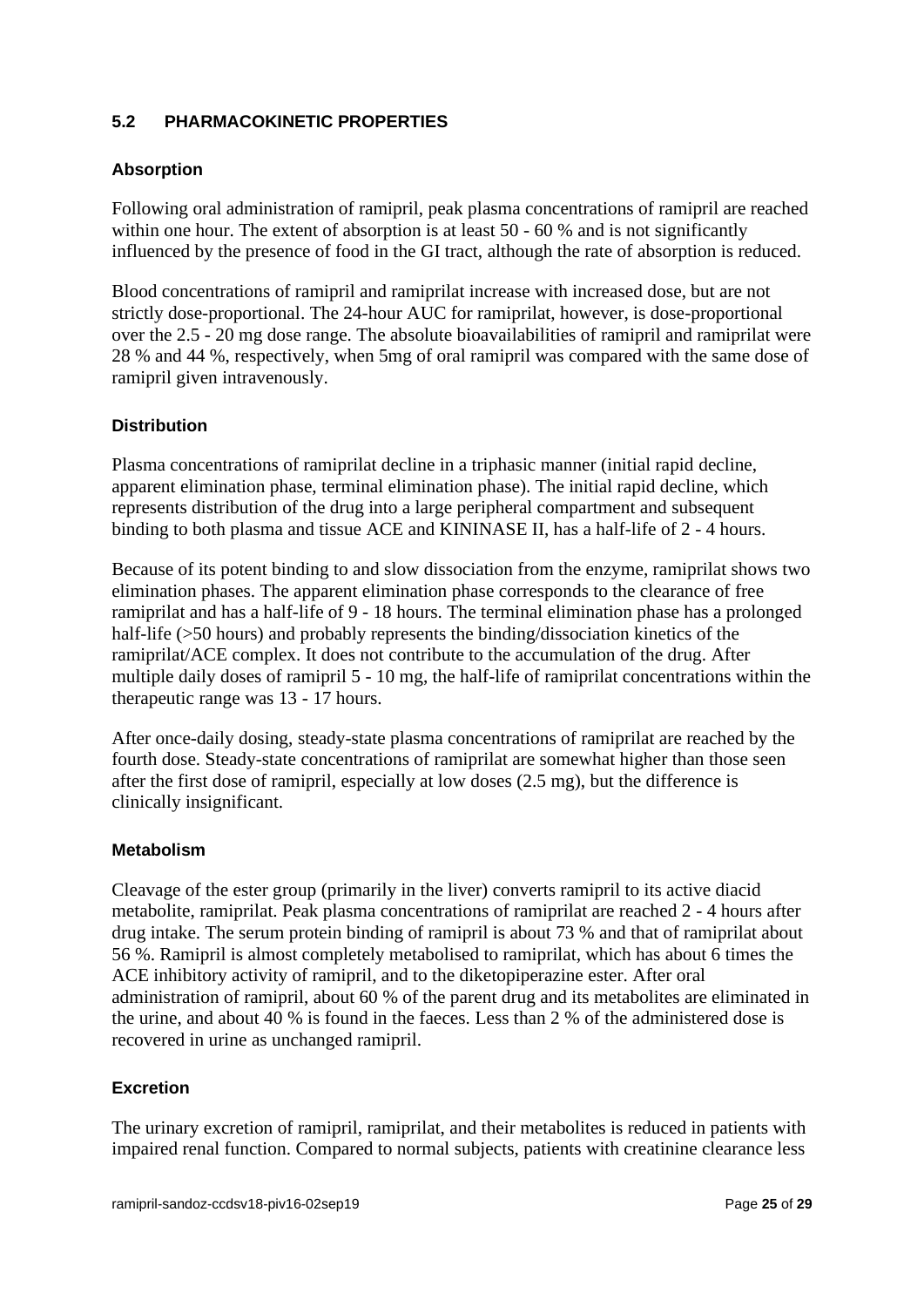# **5.2 PHARMACOKINETIC PROPERTIES**

## **Absorption**

Following oral administration of ramipril, peak plasma concentrations of ramipril are reached within one hour. The extent of absorption is at least 50 - 60 % and is not significantly influenced by the presence of food in the GI tract, although the rate of absorption is reduced.

Blood concentrations of ramipril and ramiprilat increase with increased dose, but are not strictly dose-proportional. The 24-hour AUC for ramiprilat, however, is dose-proportional over the 2.5 - 20 mg dose range. The absolute bioavailabilities of ramipril and ramiprilat were 28 % and 44 %, respectively, when 5mg of oral ramipril was compared with the same dose of ramipril given intravenously.

# **Distribution**

Plasma concentrations of ramiprilat decline in a triphasic manner (initial rapid decline, apparent elimination phase, terminal elimination phase). The initial rapid decline, which represents distribution of the drug into a large peripheral compartment and subsequent binding to both plasma and tissue ACE and KININASE II, has a half-life of 2 - 4 hours.

Because of its potent binding to and slow dissociation from the enzyme, ramiprilat shows two elimination phases. The apparent elimination phase corresponds to the clearance of free ramiprilat and has a half-life of 9 - 18 hours. The terminal elimination phase has a prolonged half-life (>50 hours) and probably represents the binding/dissociation kinetics of the ramiprilat/ACE complex. It does not contribute to the accumulation of the drug. After multiple daily doses of ramipril 5 - 10 mg, the half-life of ramiprilat concentrations within the therapeutic range was 13 - 17 hours.

After once-daily dosing, steady-state plasma concentrations of ramiprilat are reached by the fourth dose. Steady-state concentrations of ramiprilat are somewhat higher than those seen after the first dose of ramipril, especially at low doses (2.5 mg), but the difference is clinically insignificant.

## **Metabolism**

Cleavage of the ester group (primarily in the liver) converts ramipril to its active diacid metabolite, ramiprilat. Peak plasma concentrations of ramiprilat are reached 2 - 4 hours after drug intake. The serum protein binding of ramipril is about 73 % and that of ramiprilat about 56 %. Ramipril is almost completely metabolised to ramiprilat, which has about 6 times the ACE inhibitory activity of ramipril, and to the diketopiperazine ester. After oral administration of ramipril, about 60 % of the parent drug and its metabolites are eliminated in the urine, and about 40 % is found in the faeces. Less than 2 % of the administered dose is recovered in urine as unchanged ramipril.

## **Excretion**

The urinary excretion of ramipril, ramiprilat, and their metabolites is reduced in patients with impaired renal function. Compared to normal subjects, patients with creatinine clearance less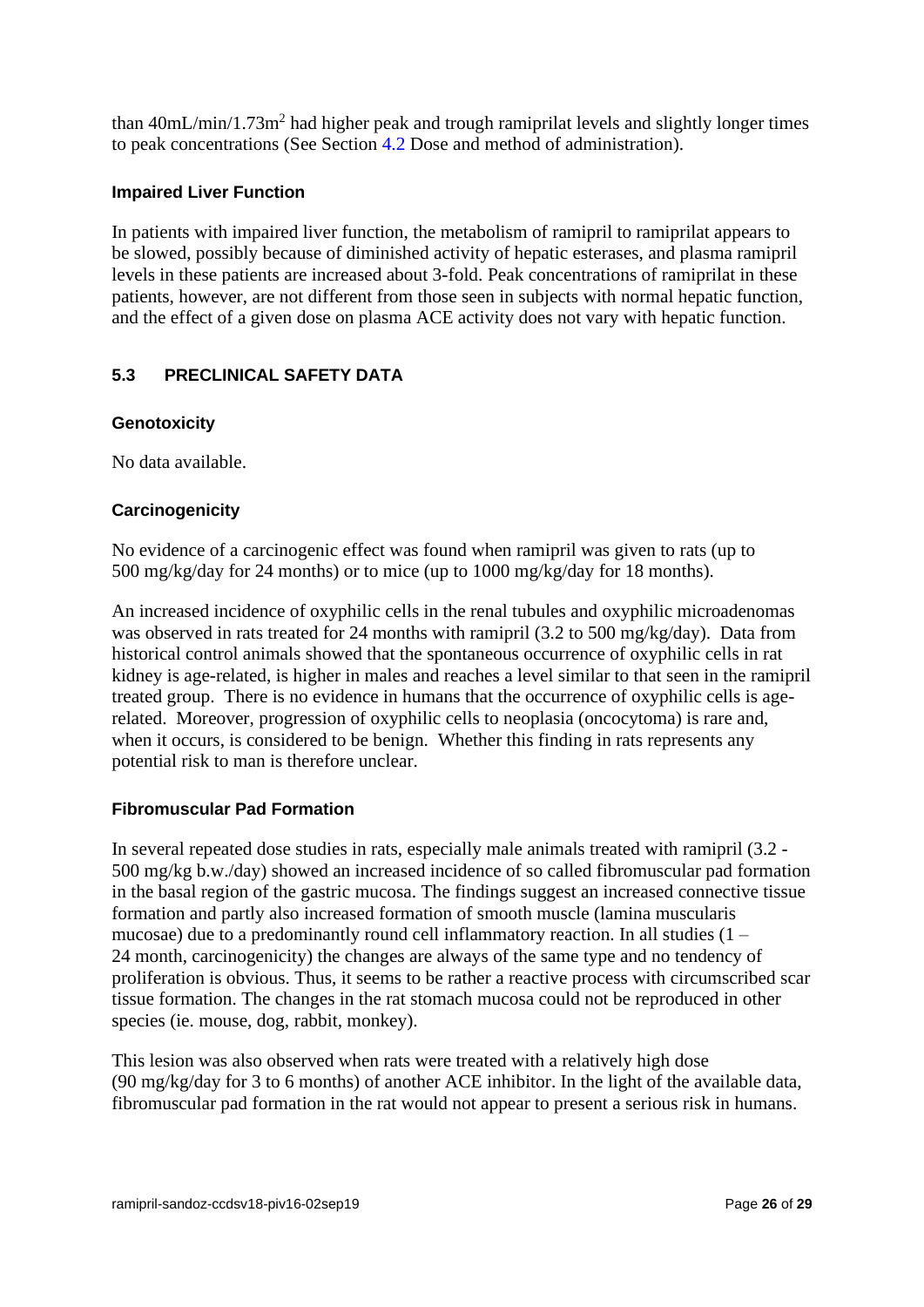than  $40mL/min/1.73m<sup>2</sup>$  had higher peak and trough ramiprilat levels and slightly longer times to peak concentrations (See Section 4.2 Dose and method of administration).

#### **Impaired Liver Function**

In patients with impaired liver function, the metabolism of ramipril to ramiprilat appears to be slowed, possibly because of diminished activity of hepatic esterases, and plasma ramipril levels in these patients are increased about 3-fold. Peak concentrations of ramiprilat in these patients, however, are not different from those seen in subjects with normal hepatic function, and the effect of a given dose on plasma ACE activity does not vary with hepatic function.

# **5.3 PRECLINICAL SAFETY DATA**

#### **Genotoxicity**

No data available.

## **Carcinogenicity**

No evidence of a carcinogenic effect was found when ramipril was given to rats (up to 500 mg/kg/day for 24 months) or to mice (up to 1000 mg/kg/day for 18 months).

An increased incidence of oxyphilic cells in the renal tubules and oxyphilic microadenomas was observed in rats treated for 24 months with ramipril (3.2 to 500 mg/kg/day). Data from historical control animals showed that the spontaneous occurrence of oxyphilic cells in rat kidney is age-related, is higher in males and reaches a level similar to that seen in the ramipril treated group. There is no evidence in humans that the occurrence of oxyphilic cells is agerelated. Moreover, progression of oxyphilic cells to neoplasia (oncocytoma) is rare and, when it occurs, is considered to be benign. Whether this finding in rats represents any potential risk to man is therefore unclear.

#### **Fibromuscular Pad Formation**

In several repeated dose studies in rats, especially male animals treated with ramipril (3.2 - 500 mg/kg b.w./day) showed an increased incidence of so called fibromuscular pad formation in the basal region of the gastric mucosa. The findings suggest an increased connective tissue formation and partly also increased formation of smooth muscle (lamina muscularis mucosae) due to a predominantly round cell inflammatory reaction. In all studies (1 – 24 month, carcinogenicity) the changes are always of the same type and no tendency of proliferation is obvious. Thus, it seems to be rather a reactive process with circumscribed scar tissue formation. The changes in the rat stomach mucosa could not be reproduced in other species (ie. mouse, dog, rabbit, monkey).

This lesion was also observed when rats were treated with a relatively high dose (90 mg/kg/day for 3 to 6 months) of another ACE inhibitor. In the light of the available data, fibromuscular pad formation in the rat would not appear to present a serious risk in humans.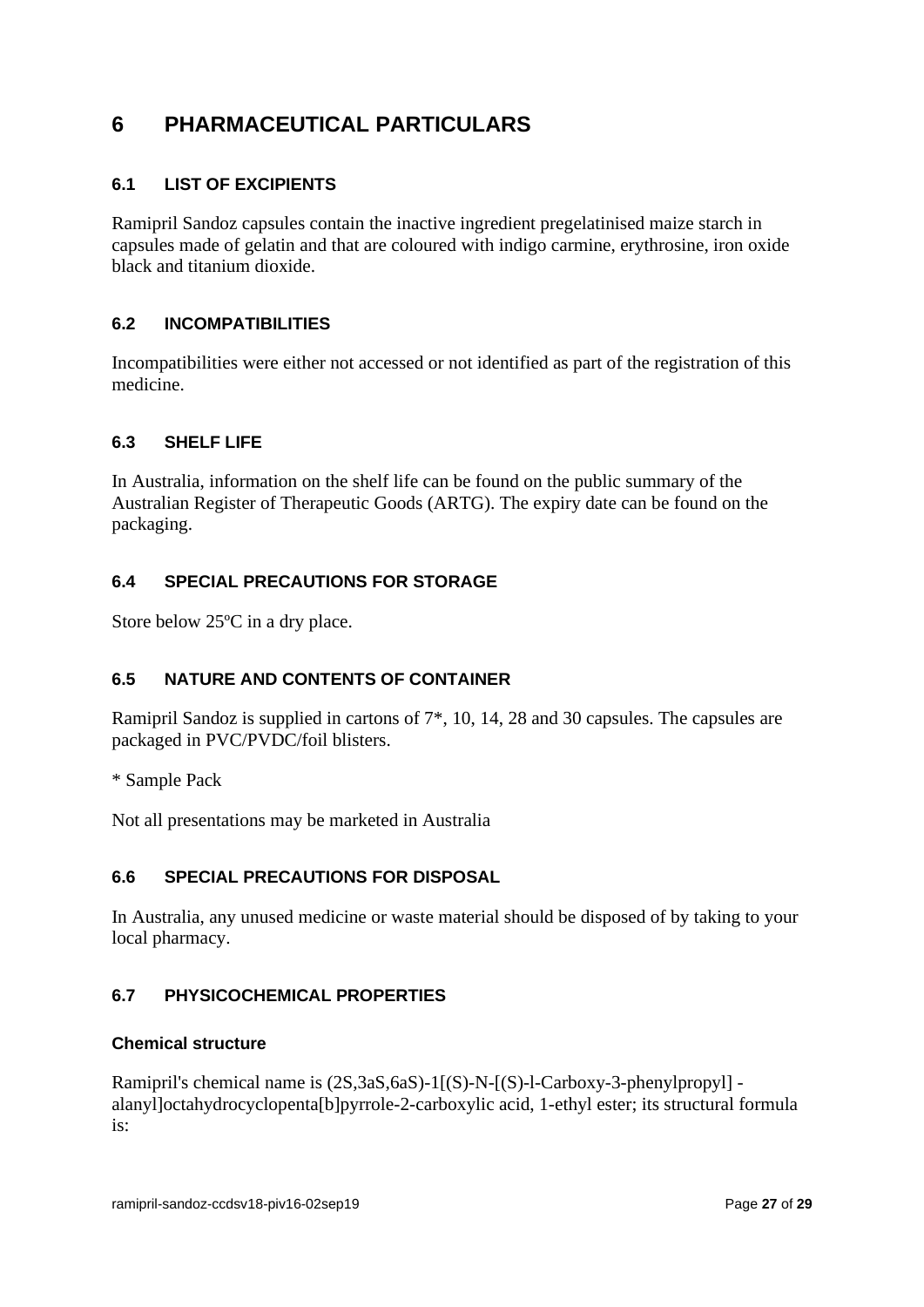# **6 PHARMACEUTICAL PARTICULARS**

# **6.1 LIST OF EXCIPIENTS**

Ramipril Sandoz capsules contain the inactive ingredient pregelatinised maize starch in capsules made of gelatin and that are coloured with indigo carmine, erythrosine, iron oxide black and titanium dioxide.

# **6.2 INCOMPATIBILITIES**

Incompatibilities were either not accessed or not identified as part of the registration of this medicine.

## **6.3 SHELF LIFE**

In Australia, information on the shelf life can be found on the public summary of the Australian Register of Therapeutic Goods (ARTG). The expiry date can be found on the packaging.

# **6.4 SPECIAL PRECAUTIONS FOR STORAGE**

Store below 25ºC in a dry place.

# **6.5 NATURE AND CONTENTS OF CONTAINER**

Ramipril Sandoz is supplied in cartons of 7\*, 10, 14, 28 and 30 capsules. The capsules are packaged in PVC/PVDC/foil blisters.

\* Sample Pack

Not all presentations may be marketed in Australia

## **6.6 SPECIAL PRECAUTIONS FOR DISPOSAL**

In Australia, any unused medicine or waste material should be disposed of by taking to your local pharmacy.

# **6.7 PHYSICOCHEMICAL PROPERTIES**

## **Chemical structure**

Ramipril's chemical name is (2S,3aS,6aS)-1[(S)-N-[(S)-l-Carboxy-3-phenylpropyl] alanyl]octahydrocyclopenta[b]pyrrole-2-carboxylic acid, 1-ethyl ester; its structural formula is: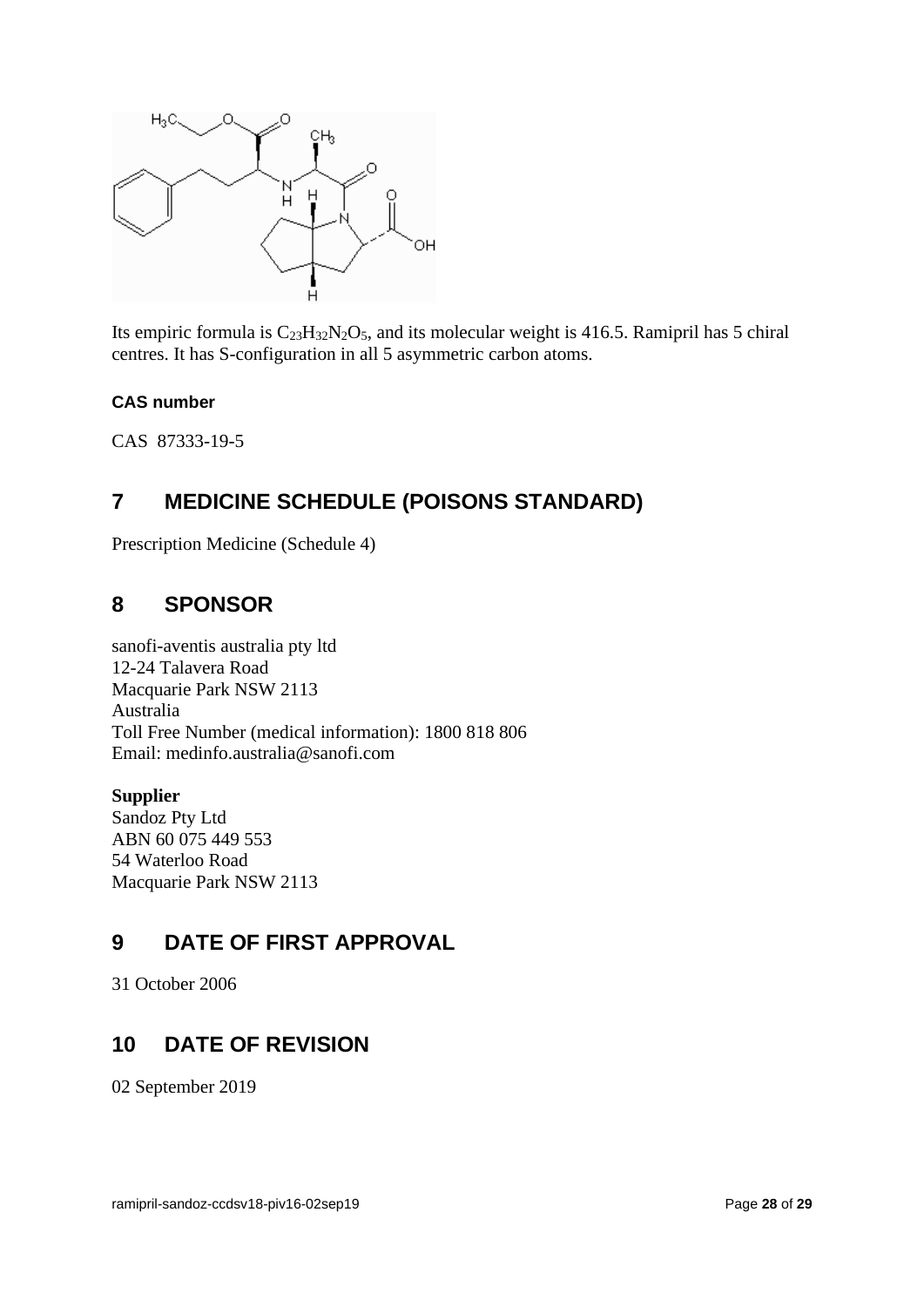

Its empiric formula is  $C_{23}H_{32}N_2O_5$ , and its molecular weight is 416.5. Ramipril has 5 chiral centres. It has S-configuration in all 5 asymmetric carbon atoms.

## **CAS number**

CAS 87333-19-5

# **7 MEDICINE SCHEDULE (POISONS STANDARD)**

Prescription Medicine (Schedule 4)

# **8 SPONSOR**

sanofi-aventis australia pty ltd 12-24 Talavera Road Macquarie Park NSW 2113 Australia Toll Free Number (medical information): 1800 818 806 Email: medinfo.australia@sanofi.com

## **Supplier**

Sandoz Pty Ltd ABN 60 075 449 553 54 Waterloo Road Macquarie Park NSW 2113

# **9 DATE OF FIRST APPROVAL**

31 October 2006

# **10 DATE OF REVISION**

02 September 2019